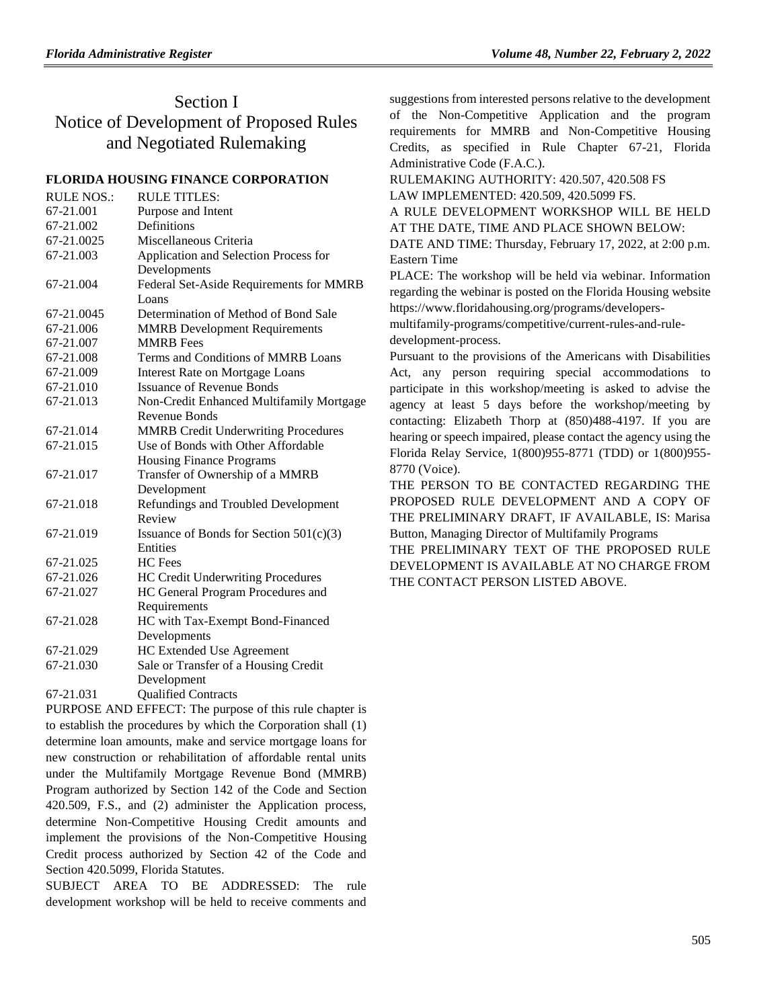# Section I Notice of Development of Proposed Rules and Negotiated Rulemaking

## **[FLORIDA HOUSING FINANCE CORPORATION](https://www.flrules.org/gateway/department.asp?id=67)**

| <b>RULE NOS.:</b> | <b>RULE TITLES:</b>                                     |
|-------------------|---------------------------------------------------------|
| 67-21.001         | Purpose and Intent                                      |
| 67-21.002         | Definitions                                             |
| 67-21.0025        | Miscellaneous Criteria                                  |
| 67-21.003         | Application and Selection Process for                   |
|                   | Developments                                            |
| 67-21.004         | Federal Set-Aside Requirements for MMRB                 |
|                   | Loans                                                   |
| 67-21.0045        | Determination of Method of Bond Sale                    |
| 67-21.006         | <b>MMRB</b> Development Requirements                    |
| 67-21.007         | <b>MMRB</b> Fees                                        |
| 67-21.008         | Terms and Conditions of MMRB Loans                      |
| 67-21.009         | <b>Interest Rate on Mortgage Loans</b>                  |
| 67-21.010         | <b>Issuance of Revenue Bonds</b>                        |
| 67-21.013         | Non-Credit Enhanced Multifamily Mortgage                |
|                   | Revenue Bonds                                           |
| 67-21.014         | <b>MMRB</b> Credit Underwriting Procedures              |
| 67-21.015         | Use of Bonds with Other Affordable                      |
|                   | Housing Finance Programs                                |
| 67-21.017         | Transfer of Ownership of a MMRB                         |
|                   | Development                                             |
| 67-21.018         | Refundings and Troubled Development                     |
|                   | Review                                                  |
| 67-21.019         | Issuance of Bonds for Section 501(c)(3)                 |
|                   | Entities                                                |
| 67-21.025         | HC Fees                                                 |
| 67-21.026         | HC Credit Underwriting Procedures                       |
| 67-21.027         | HC General Program Procedures and                       |
|                   | Requirements                                            |
| 67-21.028         | HC with Tax-Exempt Bond-Financed                        |
|                   | Developments                                            |
| 67-21.029         | <b>HC Extended Use Agreement</b>                        |
| 67-21.030         | Sale or Transfer of a Housing Credit                    |
|                   | Development                                             |
| 67-21.031         | <b>Qualified Contracts</b>                              |
|                   | DUIDDOCE AND EEEECT. The numero of this rule abontor is |

PURPOSE AND EFFECT: The purpose of this rule chapter is to establish the procedures by which the Corporation shall (1) determine loan amounts, make and service mortgage loans for new construction or rehabilitation of affordable rental units under the Multifamily Mortgage Revenue Bond (MMRB) Program authorized by Section 142 of the Code and Section 420.509, F.S., and (2) administer the Application process, determine Non-Competitive Housing Credit amounts and implement the provisions of the Non-Competitive Housing Credit process authorized by Section 42 of the Code and Section 420.5099, Florida Statutes.

SUBJECT AREA TO BE ADDRESSED: The rule development workshop will be held to receive comments and suggestions from interested persons relative to the development of the Non-Competitive Application and the program requirements for MMRB and Non-Competitive Housing Credits, as specified in Rule Chapter 67-21, Florida Administrative Code (F.A.C.).

RULEMAKING AUTHORITY: [420.507, 420.508 FS](https://www.flrules.org/gateway/cfr.asp?id=420.507,%20420.508%20FS) LAW IMPLEMENTED: [420.509,](https://www.flrules.org/gateway/statute.asp?id=420.509) [420.5099 FS.](https://www.flrules.org/gateway/statute.asp?id=%20420.5099%20FS.) A RULE DEVELOPMENT WORKSHOP WILL BE HELD

AT THE DATE, TIME AND PLACE SHOWN BELOW:

DATE AND TIME: Thursday, February 17, 2022, at 2:00 p.m. Eastern Time

PLACE: The workshop will be held via webinar. Information regarding the webinar is posted on the Florida Housing website https://www.floridahousing.org/programs/developers-

multifamily-programs/competitive/current-rules-and-ruledevelopment-process.

Pursuant to the provisions of the Americans with Disabilities Act, any person requiring special accommodations to participate in this workshop/meeting is asked to advise the agency at least 5 days before the workshop/meeting by contacting: Elizabeth Thorp at (850)488-4197. If you are hearing or speech impaired, please contact the agency using the Florida Relay Service, 1(800)955-8771 (TDD) or 1(800)955- 8770 (Voice).

THE PERSON TO BE CONTACTED REGARDING THE PROPOSED RULE DEVELOPMENT AND A COPY OF THE PRELIMINARY DRAFT, IF AVAILABLE, IS: Marisa Button, Managing Director of Multifamily Programs

THE PRELIMINARY TEXT OF THE PROPOSED RULE DEVELOPMENT IS AVAILABLE AT NO CHARGE FROM THE CONTACT PERSON LISTED ABOVE.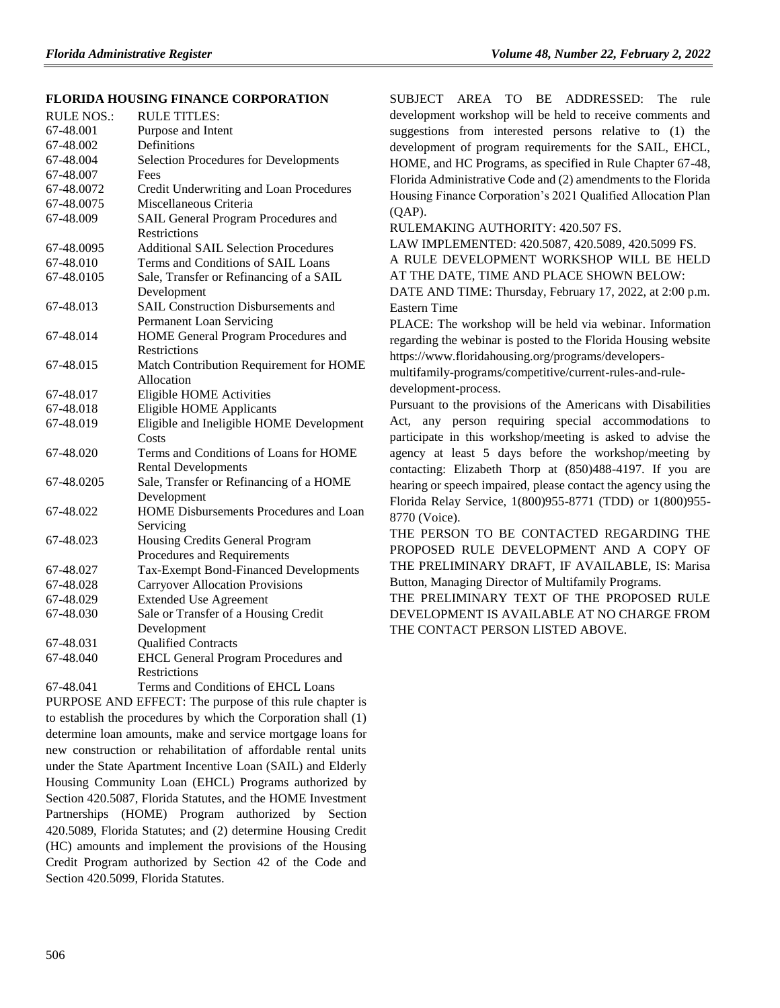## **[FLORIDA HOUSING FINANCE CORPORATION](https://www.flrules.org/gateway/department.asp?id=67)**

| <b>RULE NOS.:</b> | <b>RULE TITLES:</b>                          |
|-------------------|----------------------------------------------|
| 67-48.001         | Purpose and Intent                           |
| 67-48.002         | Definitions                                  |
| 67-48.004         | <b>Selection Procedures for Developments</b> |
| 67-48.007         | Fees                                         |
| 67-48.0072        | Credit Underwriting and Loan Procedures      |
| 67-48.0075        | Miscellaneous Criteria                       |
| 67-48.009         | SAIL General Program Procedures and          |
|                   | <b>Restrictions</b>                          |
| 67-48.0095        | <b>Additional SAIL Selection Procedures</b>  |
| 67-48.010         | Terms and Conditions of SAIL Loans           |
| 67-48.0105        | Sale, Transfer or Refinancing of a SAIL      |
|                   | Development                                  |
| 67-48.013         | <b>SAIL Construction Disbursements and</b>   |
|                   | <b>Permanent Loan Servicing</b>              |
| 67-48.014         | HOME General Program Procedures and          |
|                   | Restrictions                                 |
| 67-48.015         | Match Contribution Requirement for HOME      |
|                   | Allocation                                   |
| 67-48.017         | <b>Eligible HOME Activities</b>              |
| 67-48.018         | <b>Eligible HOME Applicants</b>              |
| 67-48.019         | Eligible and Ineligible HOME Development     |
|                   | Costs                                        |
| 67-48.020         | Terms and Conditions of Loans for HOME       |
|                   | <b>Rental Developments</b>                   |
| 67-48.0205        | Sale, Transfer or Refinancing of a HOME      |
|                   | Development                                  |
| 67-48.022         | HOME Disbursements Procedures and Loan       |
|                   | Servicing                                    |
| 67-48.023         | Housing Credits General Program              |
|                   | Procedures and Requirements                  |
| 67-48.027         | Tax-Exempt Bond-Financed Developments        |
| 67-48.028         | <b>Carryover Allocation Provisions</b>       |
| 67-48.029         | <b>Extended Use Agreement</b>                |
| 67-48.030         | Sale or Transfer of a Housing Credit         |
|                   | Development                                  |
| 67-48.031         | <b>Qualified Contracts</b>                   |
| 67-48.040         | <b>EHCL General Program Procedures and</b>   |
|                   | <b>Restrictions</b>                          |
| 67-48.041         | Terms and Conditions of EHCL Loans           |

PURPOSE AND EFFECT: The purpose of this rule chapter is to establish the procedures by which the Corporation shall (1) determine loan amounts, make and service mortgage loans for new construction or rehabilitation of affordable rental units under the State Apartment Incentive Loan (SAIL) and Elderly Housing Community Loan (EHCL) Programs authorized by Section 420.5087, Florida Statutes, and the HOME Investment Partnerships (HOME) Program authorized by Section 420.5089, Florida Statutes; and (2) determine Housing Credit (HC) amounts and implement the provisions of the Housing Credit Program authorized by Section 42 of the Code and Section 420.5099, Florida Statutes.

SUBJECT AREA TO BE ADDRESSED: The rule development workshop will be held to receive comments and suggestions from interested persons relative to (1) the development of program requirements for the SAIL, EHCL, HOME, and HC Programs, as specified in Rule Chapter 67-48, Florida Administrative Code and (2) amendments to the Florida Housing Finance Corporation's 2021 Qualified Allocation Plan (QAP).

RULEMAKING AUTHORITY: [420.507 FS.](https://www.flrules.org/gateway/statute.asp?id=420.507%20FS.)

LAW IMPLEMENTED: [420.5087,](https://www.flrules.org/gateway/statute.asp?id=420.5087) [420.5089,](https://www.flrules.org/gateway/statute.asp?id=%20420.5089) [420.5099 FS.](https://www.flrules.org/gateway/statute.asp?id=%20420.5099%20FS.)

A RULE DEVELOPMENT WORKSHOP WILL BE HELD AT THE DATE, TIME AND PLACE SHOWN BELOW:

DATE AND TIME: Thursday, February 17, 2022, at 2:00 p.m. Eastern Time

PLACE: The workshop will be held via webinar. Information regarding the webinar is posted to the Florida Housing website https://www.floridahousing.org/programs/developers-

multifamily-programs/competitive/current-rules-and-ruledevelopment-process.

Pursuant to the provisions of the Americans with Disabilities Act, any person requiring special accommodations to participate in this workshop/meeting is asked to advise the agency at least 5 days before the workshop/meeting by contacting: Elizabeth Thorp at (850)488-4197. If you are hearing or speech impaired, please contact the agency using the Florida Relay Service, 1(800)955-8771 (TDD) or 1(800)955- 8770 (Voice).

THE PERSON TO BE CONTACTED REGARDING THE PROPOSED RULE DEVELOPMENT AND A COPY OF THE PRELIMINARY DRAFT, IF AVAILABLE, IS: Marisa Button, Managing Director of Multifamily Programs.

THE PRELIMINARY TEXT OF THE PROPOSED RULE DEVELOPMENT IS AVAILABLE AT NO CHARGE FROM THE CONTACT PERSON LISTED ABOVE.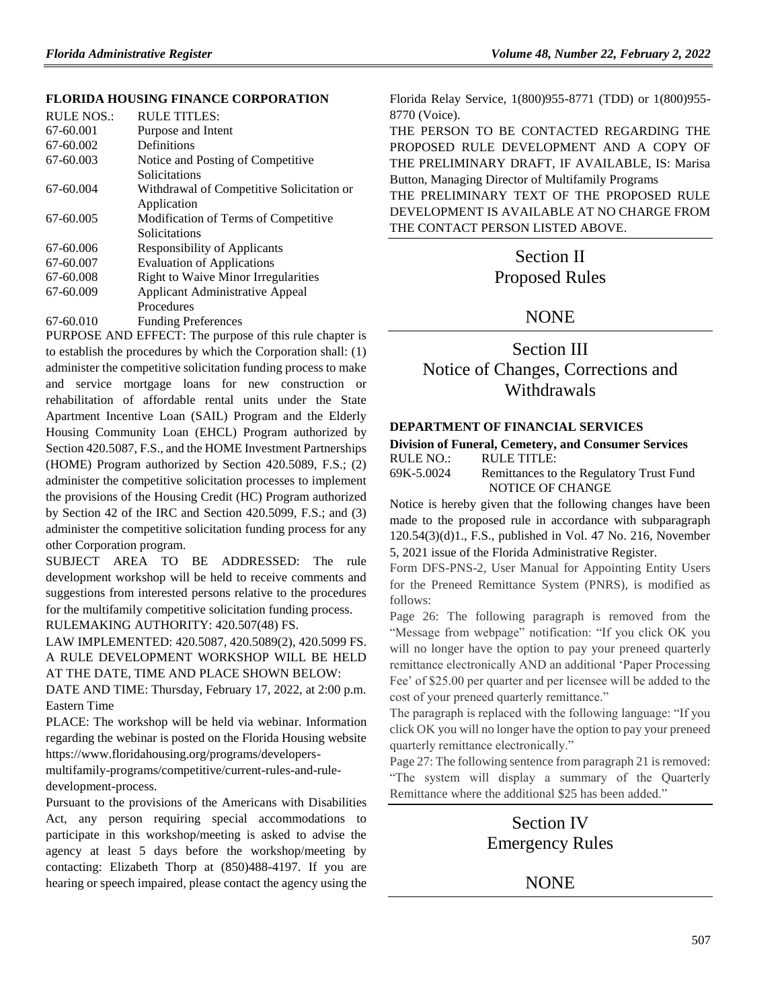## **FLORIDA HOUSING [FINANCE CORPORATION](https://www.flrules.org/gateway/department.asp?id=67)**

| RULE NOS.: | RULE TITLES:                               |
|------------|--------------------------------------------|
| 67-60.001  | Purpose and Intent                         |
| 67-60.002  | Definitions                                |
| 67-60.003  | Notice and Posting of Competitive          |
|            | Solicitations                              |
| 67-60.004  | Withdrawal of Competitive Solicitation or  |
|            | Application                                |
| 67-60.005  | Modification of Terms of Competitive       |
|            | Solicitations                              |
| 67-60.006  | <b>Responsibility of Applicants</b>        |
| 67-60.007  | <b>Evaluation of Applications</b>          |
| 67-60.008  | <b>Right to Waive Minor Irregularities</b> |
| 67-60.009  | <b>Applicant Administrative Appeal</b>     |
|            | Procedures                                 |
| 67-60.010  | <b>Funding Preferences</b>                 |

PURPOSE AND EFFECT: The purpose of this rule chapter is to establish the procedures by which the Corporation shall: (1) administer the competitive solicitation funding process to make and service mortgage loans for new construction or rehabilitation of affordable rental units under the State Apartment Incentive Loan (SAIL) Program and the Elderly Housing Community Loan (EHCL) Program authorized by Section 420.5087, F.S., and the HOME Investment Partnerships (HOME) Program authorized by Section 420.5089, F.S.; (2) administer the competitive solicitation processes to implement the provisions of the Housing Credit (HC) Program authorized by Section 42 of the IRC and Section 420.5099, F.S.; and (3) administer the competitive solicitation funding process for any other Corporation program.

SUBJECT AREA TO BE ADDRESSED: The rule development workshop will be held to receive comments and suggestions from interested persons relative to the procedures for the multifamily competitive solicitation funding process. RULEMAKING AUTHORITY: [420.507\(48\) FS.](https://www.flrules.org/gateway/statute.asp?id=420.507(48)%20FS.)

LAW IMPLEMENTED: [420.5087,](https://www.flrules.org/gateway/statute.asp?id=420.5087) [420.5089\(2\),](https://www.flrules.org/gateway/statute.asp?id=%20420.5089(2)) [420.5099 FS.](https://www.flrules.org/gateway/statute.asp?id=%20420.5099%20FS.) A RULE DEVELOPMENT WORKSHOP WILL BE HELD AT THE DATE, TIME AND PLACE SHOWN BELOW:

DATE AND TIME: Thursday, February 17, 2022, at 2:00 p.m. Eastern Time

PLACE: The workshop will be held via webinar. Information regarding the webinar is posted on the Florida Housing website https://www.floridahousing.org/programs/developers-

multifamily-programs/competitive/current-rules-and-ruledevelopment-process.

Pursuant to the provisions of the Americans with Disabilities Act, any person requiring special accommodations to participate in this workshop/meeting is asked to advise the agency at least 5 days before the workshop/meeting by contacting: Elizabeth Thorp at (850)488-4197. If you are hearing or speech impaired, please contact the agency using the

Florida Relay Service, 1(800)955-8771 (TDD) or 1(800)955- 8770 (Voice).

THE PERSON TO BE CONTACTED REGARDING THE PROPOSED RULE DEVELOPMENT AND A COPY OF THE PRELIMINARY DRAFT, IF AVAILABLE, IS: Marisa Button, Managing Director of Multifamily Programs THE PRELIMINARY TEXT OF THE PROPOSED RULE DEVELOPMENT IS AVAILABLE AT NO CHARGE FROM THE CONTACT PERSON LISTED ABOVE.

> Section II Proposed Rules

# NONE

# Section III Notice of Changes, Corrections and Withdrawals

#### **[DEPARTMENT OF FINANCIAL SERVICES](https://www.flrules.org/gateway/department.asp?id=69)**

### **[Division of Funeral, Cemetery, and Consumer Services](https://www.flrules.org/gateway/organization.asp?id=369)**

RULE NO.: RULE TITLE:

[69K-5.0024](https://www.flrules.org/gateway/ruleNo.asp?id=69K-5.0024) Remittances to the Regulatory Trust Fund NOTICE OF CHANGE

Notice is hereby given that the following changes have been made to the proposed rule in accordance with subparagraph 120.54(3)(d)1., F.S., published in Vol. 47 No. 216, November 5, 2021 issue of the Florida Administrative Register.

Form DFS-PNS-2, User Manual for Appointing Entity Users for the Preneed Remittance System (PNRS), is modified as follows:

Page 26: The following paragraph is removed from the "Message from webpage" notification: "If you click OK you will no longer have the option to pay your preneed quarterly remittance electronically AND an additional 'Paper Processing Fee' of \$25.00 per quarter and per licensee will be added to the cost of your preneed quarterly remittance."

The paragraph is replaced with the following language: "If you click OK you will no longer have the option to pay your preneed quarterly remittance electronically."

Page 27: The following sentence from paragraph 21 is removed: "The system will display a summary of the Quarterly Remittance where the additional \$25 has been added."

# Section IV Emergency Rules

NONE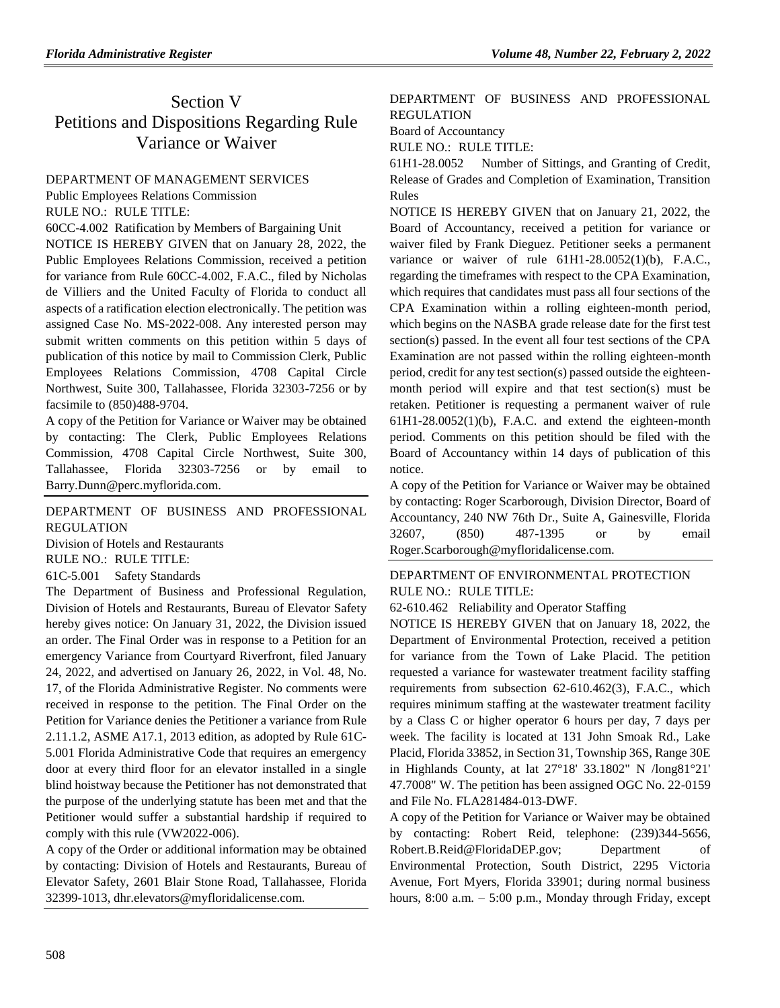# Section V Petitions and Dispositions Regarding Rule Variance or Waiver

# [DEPARTMENT OF MANAGEMENT SERVICES](https://www.flrules.org/gateway/department.asp?id=60)

[Public Employees Relations Commission](https://www.flrules.org/gateway/organization.asp?id=502)

RULE NO.: RULE TITLE:

[60CC-4.002](https://www.flrules.org/gateway/ruleNo.asp?id=60CC-4.002) Ratification by Members of Bargaining Unit

NOTICE IS HEREBY GIVEN that on January 28, 2022, the Public Employees Relations Commission, received a petition for variance from Rule 60CC-4.002, F.A.C., filed by Nicholas de Villiers and the United Faculty of Florida to conduct all aspects of a ratification election electronically. The petition was assigned Case No. MS-2022-008. Any interested person may submit written comments on this petition within 5 days of publication of this notice by mail to Commission Clerk, Public Employees Relations Commission, 4708 Capital Circle Northwest, Suite 300, Tallahassee, Florida 32303-7256 or by facsimile to (850)488-9704.

A copy of the Petition for Variance or Waiver may be obtained by contacting: The Clerk, Public Employees Relations Commission, 4708 Capital Circle Northwest, Suite 300, Tallahassee, Florida 32303-7256 or by email to Barry.Dunn@perc.myflorida.com.

# [DEPARTMENT OF BUSINESS AND PROFESSIONAL](https://www.flrules.org/gateway/department.asp?id=61)  [REGULATION](https://www.flrules.org/gateway/department.asp?id=61)

[Division of Hotels and Restaurants](https://www.flrules.org/gateway/organization.asp?id=249)

RULE NO.: RULE TITLE:

[61C-5.001](https://www.flrules.org/gateway/ruleNo.asp?id=61C-5.001) Safety Standards

The Department of Business and Professional Regulation, Division of Hotels and Restaurants, Bureau of Elevator Safety hereby gives notice: On January 31, 2022, the Division issued an order. The Final Order was in response to a Petition for an emergency Variance from Courtyard Riverfront, filed January 24, 2022, and advertised on January 26, 2022, in Vol. 48, No. 17, of the Florida Administrative Register. No comments were received in response to the petition. The Final Order on the Petition for Variance denies the Petitioner a variance from Rule 2.11.1.2, ASME A17.1, 2013 edition, as adopted by Rule 61C-5.001 Florida Administrative Code that requires an emergency door at every third floor for an elevator installed in a single blind hoistway because the Petitioner has not demonstrated that the purpose of the underlying statute has been met and that the Petitioner would suffer a substantial hardship if required to comply with this rule (VW2022-006).

A copy of the Order or additional information may be obtained by contacting: Division of Hotels and Restaurants, Bureau of Elevator Safety, 2601 Blair Stone Road, Tallahassee, Florida 32399-1013, dhr.elevators@myfloridalicense.com.

# [DEPARTMENT OF BUSINESS AND PROFESSIONAL](https://www.flrules.org/gateway/department.asp?id=61)  [REGULATION](https://www.flrules.org/gateway/department.asp?id=61)

[Board of Accountancy](https://www.flrules.org/gateway/organization.asp?id=280)

RULE NO.: RULE TITLE:

[61H1-28.0052](https://www.flrules.org/gateway/ruleNo.asp?id=61H1-28.0052) Number of Sittings, and Granting of Credit, Release of Grades and Completion of Examination, Transition Rules

NOTICE IS HEREBY GIVEN that on January 21, 2022, the Board of Accountancy, received a petition for variance or waiver filed by Frank Dieguez. Petitioner seeks a permanent variance or waiver of rule 61H1-28.0052(1)(b), F.A.C., regarding the timeframes with respect to the CPA Examination, which requires that candidates must pass all four sections of the CPA Examination within a rolling eighteen-month period, which begins on the NASBA grade release date for the first test section(s) passed. In the event all four test sections of the CPA Examination are not passed within the rolling eighteen-month period, credit for any test section(s) passed outside the eighteenmonth period will expire and that test section(s) must be retaken. Petitioner is requesting a permanent waiver of rule  $61H1-28.0052(1)(b)$ , F.A.C. and extend the eighteen-month period. Comments on this petition should be filed with the Board of Accountancy within 14 days of publication of this notice.

A copy of the Petition for Variance or Waiver may be obtained by contacting: Roger Scarborough, Division Director, Board of Accountancy, 240 NW 76th Dr., Suite A, Gainesville, Florida 32607, (850) 487-1395 or by email Roger.Scarborough@myfloridalicense.com.

# [DEPARTMENT OF ENVIRONMENTAL PROTECTION](https://www.flrules.org/gateway/department.asp?id=62) RULE NO.: RULE TITLE:

[62-610.462](https://www.flrules.org/gateway/ruleNo.asp?id=62-610.462) Reliability and Operator Staffing

NOTICE IS HEREBY GIVEN that on January 18, 2022, the Department of Environmental Protection, received a petition for variance from the Town of Lake Placid. The petition requested a variance for wastewater treatment facility staffing requirements from subsection 62-610.462(3), F.A.C., which requires minimum staffing at the wastewater treatment facility by a Class C or higher operator 6 hours per day, 7 days per week. The facility is located at 131 John Smoak Rd., Lake Placid, Florida 33852, in Section 31, Township 36S, Range 30E in Highlands County, at lat 27°18' 33.1802" N /long81°21' 47.7008" W. The petition has been assigned OGC No. 22-0159 and File No. FLA281484-013-DWF.

A copy of the Petition for Variance or Waiver may be obtained by contacting: Robert Reid, telephone: (239)344-5656, Robert.B.Reid@FloridaDEP.gov; Department of Environmental Protection, South District, 2295 Victoria Avenue, Fort Myers, Florida 33901; during normal business hours,  $8:00$  a.m.  $-5:00$  p.m., Monday through Friday, except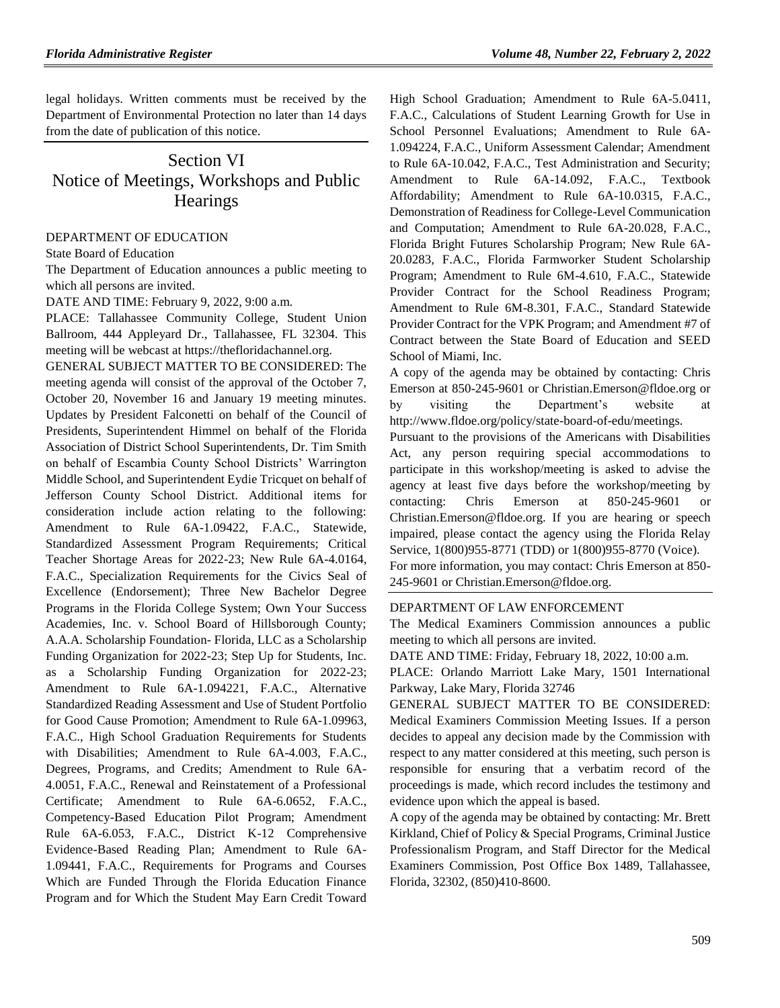legal holidays. Written comments must be received by the Department of Environmental Protection no later than 14 days from the date of publication of this notice.

# Section VI Notice of Meetings, Workshops and Public **Hearings**

### [DEPARTMENT OF EDUCATION](https://www.flrules.org/gateway/department.asp?id=6)

[State Board of Education](https://www.flrules.org/gateway/organization.asp?id=195)

The Department of Education announces a public meeting to which all persons are invited.

DATE AND TIME: February 9, 2022, 9:00 a.m.

PLACE: Tallahassee Community College, Student Union Ballroom, 444 Appleyard Dr., Tallahassee, FL 32304. This meeting will be webcast at https://thefloridachannel.org.

GENERAL SUBJECT MATTER TO BE CONSIDERED: The meeting agenda will consist of the approval of the October 7, October 20, November 16 and January 19 meeting minutes. Updates by President Falconetti on behalf of the Council of Presidents, Superintendent Himmel on behalf of the Florida Association of District School Superintendents, Dr. Tim Smith on behalf of Escambia County School Districts' Warrington Middle School, and Superintendent Eydie Tricquet on behalf of Jefferson County School District. Additional items for consideration include action relating to the following: Amendment to Rule 6A-1.09422, F.A.C., Statewide, Standardized Assessment Program Requirements; Critical Teacher Shortage Areas for 2022-23; New Rule 6A-4.0164, F.A.C., Specialization Requirements for the Civics Seal of Excellence (Endorsement); Three New Bachelor Degree Programs in the Florida College System; Own Your Success Academies, Inc. v. School Board of Hillsborough County; A.A.A. Scholarship Foundation- Florida, LLC as a Scholarship Funding Organization for 2022-23; Step Up for Students, Inc. as a Scholarship Funding Organization for 2022-23; Amendment to Rule 6A-1.094221, F.A.C., Alternative Standardized Reading Assessment and Use of Student Portfolio for Good Cause Promotion; Amendment to Rule 6A-1.09963, F.A.C., High School Graduation Requirements for Students with Disabilities; Amendment to Rule 6A-4.003, F.A.C., Degrees, Programs, and Credits; Amendment to Rule 6A-4.0051, F.A.C., Renewal and Reinstatement of a Professional Certificate; Amendment to Rule 6A-6.0652, F.A.C., Competency-Based Education Pilot Program; Amendment Rule 6A-6.053, F.A.C., District K-12 Comprehensive Evidence-Based Reading Plan; Amendment to Rule 6A-1.09441, F.A.C., Requirements for Programs and Courses Which are Funded Through the Florida Education Finance Program and for Which the Student May Earn Credit Toward High School Graduation; Amendment to Rule 6A-5.0411, F.A.C., Calculations of Student Learning Growth for Use in School Personnel Evaluations; Amendment to Rule 6A-1.094224, F.A.C., Uniform Assessment Calendar; Amendment to Rule 6A-10.042, F.A.C., Test Administration and Security; Amendment to Rule 6A-14.092, F.A.C., Textbook Affordability; Amendment to Rule 6A-10.0315, F.A.C., Demonstration of Readiness for College-Level Communication and Computation; Amendment to Rule 6A-20.028, F.A.C., Florida Bright Futures Scholarship Program; New Rule 6A-20.0283, F.A.C., Florida Farmworker Student Scholarship Program; Amendment to Rule 6M-4.610, F.A.C., Statewide Provider Contract for the School Readiness Program; Amendment to Rule 6M-8.301, F.A.C., Standard Statewide Provider Contract for the VPK Program; and Amendment #7 of Contract between the State Board of Education and SEED School of Miami, Inc.

A copy of the agenda may be obtained by contacting: Chris Emerson at 850-245-9601 or Christian.Emerson@fldoe.org or by visiting the Department's website at http://www.fldoe.org/policy/state-board-of-edu/meetings.

Pursuant to the provisions of the Americans with Disabilities Act, any person requiring special accommodations to participate in this workshop/meeting is asked to advise the agency at least five days before the workshop/meeting by contacting: Chris Emerson at 850-245-9601 or Christian.Emerson@fldoe.org. If you are hearing or speech impaired, please contact the agency using the Florida Relay Service, 1(800)955-8771 (TDD) or 1(800)955-8770 (Voice).

For more information, you may contact: Chris Emerson at 850- 245-9601 or Christian.Emerson@fldoe.org.

#### [DEPARTMENT OF LAW ENFORCEMENT](https://www.flrules.org/gateway/department.asp?id=11)

The Medical Examiners Commission announces a public meeting to which all persons are invited.

DATE AND TIME: Friday, February 18, 2022, 10:00 a.m.

PLACE: Orlando Marriott Lake Mary, 1501 International Parkway, Lake Mary, Florida 32746

GENERAL SUBJECT MATTER TO BE CONSIDERED: Medical Examiners Commission Meeting Issues. If a person decides to appeal any decision made by the Commission with respect to any matter considered at this meeting, such person is responsible for ensuring that a verbatim record of the proceedings is made, which record includes the testimony and evidence upon which the appeal is based.

A copy of the agenda may be obtained by contacting: Mr. Brett Kirkland, Chief of Policy & Special Programs, Criminal Justice Professionalism Program, and Staff Director for the Medical Examiners Commission, Post Office Box 1489, Tallahassee, Florida, 32302, (850)410-8600.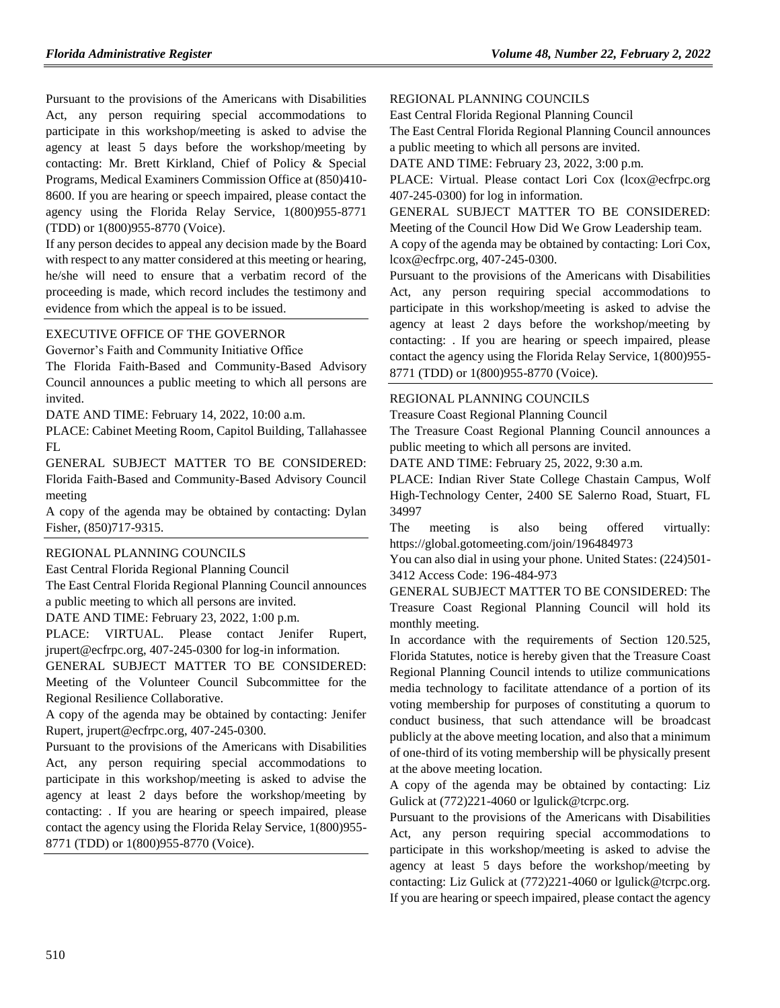Pursuant to the provisions of the Americans with Disabilities Act, any person requiring special accommodations to participate in this workshop/meeting is asked to advise the agency at least 5 days before the workshop/meeting by contacting: Mr. Brett Kirkland, Chief of Policy & Special Programs, Medical Examiners Commission Office at (850)410- 8600. If you are hearing or speech impaired, please contact the agency using the Florida Relay Service, 1(800)955-8771 (TDD) or 1(800)955-8770 (Voice).

If any person decides to appeal any decision made by the Board with respect to any matter considered at this meeting or hearing, he/she will need to ensure that a verbatim record of the proceeding is made, which record includes the testimony and evidence from which the appeal is to be issued.

#### [EXECUTIVE OFFICE OF THE GOVERNOR](https://www.flrules.org/gateway/department.asp?id=27)

[Governor's Faith and Community Initiative Office](https://www.flrules.org/gateway/organization.asp?id=1433)

The Florida Faith-Based and Community-Based Advisory Council announces a public meeting to which all persons are invited.

DATE AND TIME: February 14, 2022, 10:00 a.m.

PLACE: Cabinet Meeting Room, Capitol Building, Tallahassee FL

GENERAL SUBJECT MATTER TO BE CONSIDERED: Florida Faith-Based and Community-Based Advisory Council meeting

A copy of the agenda may be obtained by contacting: Dylan Fisher, (850)717-9315.

#### [REGIONAL PLANNING COUNCILS](https://www.flrules.org/gateway/department.asp?id=29)

[East Central Florida Regional Planning Council](https://www.flrules.org/gateway/organization.asp?id=62)

The East Central Florida Regional Planning Council announces a public meeting to which all persons are invited.

DATE AND TIME: February 23, 2022, 1:00 p.m.

PLACE: VIRTUAL. Please contact Jenifer Rupert, jrupert@ecfrpc.org, 407-245-0300 for log-in information.

GENERAL SUBJECT MATTER TO BE CONSIDERED: Meeting of the Volunteer Council Subcommittee for the Regional Resilience Collaborative.

A copy of the agenda may be obtained by contacting: Jenifer Rupert, jrupert@ecfrpc.org, 407-245-0300.

Pursuant to the provisions of the Americans with Disabilities Act, any person requiring special accommodations to participate in this workshop/meeting is asked to advise the agency at least 2 days before the workshop/meeting by contacting: . If you are hearing or speech impaired, please contact the agency using the Florida Relay Service, 1(800)955- 8771 (TDD) or 1(800)955-8770 (Voice).

#### [REGIONAL PLANNING COUNCILS](https://www.flrules.org/gateway/department.asp?id=29)

[East Central Florida Regional Planning Council](https://www.flrules.org/gateway/organization.asp?id=62)

The East Central Florida Regional Planning Council announces a public meeting to which all persons are invited.

DATE AND TIME: February 23, 2022, 3:00 p.m.

PLACE: Virtual. Please contact Lori Cox (lcox@ecfrpc.org) 407-245-0300) for log in information.

GENERAL SUBJECT MATTER TO BE CONSIDERED: Meeting of the Council How Did We Grow Leadership team.

A copy of the agenda may be obtained by contacting: Lori Cox, lcox@ecfrpc.org, 407-245-0300.

Pursuant to the provisions of the Americans with Disabilities Act, any person requiring special accommodations to participate in this workshop/meeting is asked to advise the agency at least 2 days before the workshop/meeting by contacting: . If you are hearing or speech impaired, please contact the agency using the Florida Relay Service, 1(800)955- 8771 (TDD) or 1(800)955-8770 (Voice).

#### [REGIONAL PLANNING COUNCILS](https://www.flrules.org/gateway/department.asp?id=29)

[Treasure Coast Regional Planning Council](https://www.flrules.org/gateway/organization.asp?id=67)

The Treasure Coast Regional Planning Council announces a public meeting to which all persons are invited.

DATE AND TIME: February 25, 2022, 9:30 a.m.

PLACE: Indian River State College Chastain Campus, Wolf High-Technology Center, 2400 SE Salerno Road, Stuart, FL 34997

The meeting is also being offered virtually: https://global.gotomeeting.com/join/196484973

You can also dial in using your phone. United States: (224)501- 3412 Access Code: 196-484-973

GENERAL SUBJECT MATTER TO BE CONSIDERED: The Treasure Coast Regional Planning Council will hold its monthly meeting.

In accordance with the requirements of Section 120.525, Florida Statutes, notice is hereby given that the Treasure Coast Regional Planning Council intends to utilize communications media technology to facilitate attendance of a portion of its voting membership for purposes of constituting a quorum to conduct business, that such attendance will be broadcast publicly at the above meeting location, and also that a minimum of one-third of its voting membership will be physically present at the above meeting location.

A copy of the agenda may be obtained by contacting: Liz Gulick at (772)221-4060 or lgulick@tcrpc.org.

Pursuant to the provisions of the Americans with Disabilities Act, any person requiring special accommodations to participate in this workshop/meeting is asked to advise the agency at least 5 days before the workshop/meeting by contacting: Liz Gulick at (772)221-4060 or lgulick@tcrpc.org. If you are hearing or speech impaired, please contact the agency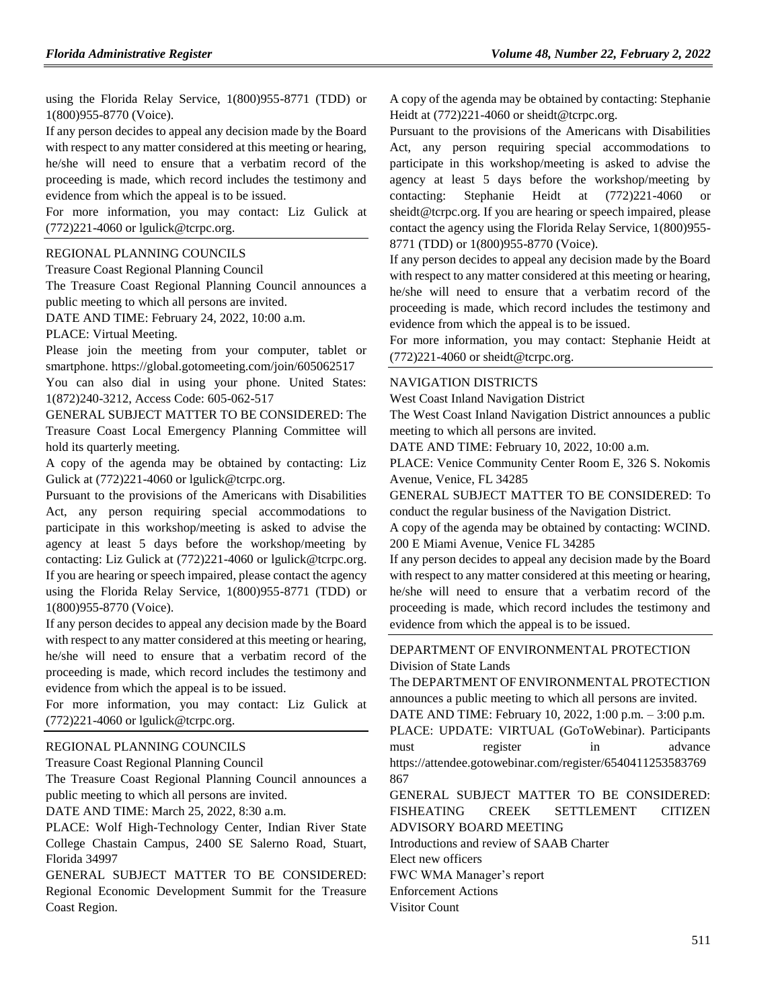using the Florida Relay Service, 1(800)955-8771 (TDD) or 1(800)955-8770 (Voice).

If any person decides to appeal any decision made by the Board with respect to any matter considered at this meeting or hearing, he/she will need to ensure that a verbatim record of the proceeding is made, which record includes the testimony and evidence from which the appeal is to be issued.

For more information, you may contact: Liz Gulick at (772)221-4060 or lgulick@tcrpc.org.

### [REGIONAL PLANNING COUNCILS](https://www.flrules.org/gateway/department.asp?id=29)

[Treasure Coast Regional Planning Council](https://www.flrules.org/gateway/organization.asp?id=67)

The Treasure Coast Regional Planning Council announces a public meeting to which all persons are invited.

DATE AND TIME: February 24, 2022, 10:00 a.m.

PLACE: Virtual Meeting.

Please join the meeting from your computer, tablet or smartphone. https://global.gotomeeting.com/join/605062517

You can also dial in using your phone. United States: 1(872)240-3212, Access Code: 605-062-517

GENERAL SUBJECT MATTER TO BE CONSIDERED: The Treasure Coast Local Emergency Planning Committee will hold its quarterly meeting.

A copy of the agenda may be obtained by contacting: Liz Gulick at (772)221-4060 or lgulick@tcrpc.org.

Pursuant to the provisions of the Americans with Disabilities Act, any person requiring special accommodations to participate in this workshop/meeting is asked to advise the agency at least 5 days before the workshop/meeting by contacting: Liz Gulick at (772)221-4060 or lgulick@tcrpc.org. If you are hearing or speech impaired, please contact the agency using the Florida Relay Service, 1(800)955-8771 (TDD) or 1(800)955-8770 (Voice).

If any person decides to appeal any decision made by the Board with respect to any matter considered at this meeting or hearing, he/she will need to ensure that a verbatim record of the proceeding is made, which record includes the testimony and evidence from which the appeal is to be issued.

For more information, you may contact: Liz Gulick at (772)221-4060 or lgulick@tcrpc.org.

#### [REGIONAL PLANNING COUNCILS](https://www.flrules.org/gateway/department.asp?id=29)

[Treasure Coast Regional Planning Council](https://www.flrules.org/gateway/organization.asp?id=67)

The Treasure Coast Regional Planning Council announces a public meeting to which all persons are invited.

DATE AND TIME: March 25, 2022, 8:30 a.m.

PLACE: Wolf High-Technology Center, Indian River State College Chastain Campus, 2400 SE Salerno Road, Stuart, Florida 34997

GENERAL SUBJECT MATTER TO BE CONSIDERED: Regional Economic Development Summit for the Treasure Coast Region.

A copy of the agenda may be obtained by contacting: Stephanie Heidt at (772)221-4060 or sheidt@tcrpc.org.

Pursuant to the provisions of the Americans with Disabilities Act, any person requiring special accommodations to participate in this workshop/meeting is asked to advise the agency at least 5 days before the workshop/meeting by contacting: Stephanie Heidt at (772)221-4060 or sheidt@tcrpc.org. If you are hearing or speech impaired, please contact the agency using the Florida Relay Service, 1(800)955- 8771 (TDD) or 1(800)955-8770 (Voice).

If any person decides to appeal any decision made by the Board with respect to any matter considered at this meeting or hearing, he/she will need to ensure that a verbatim record of the proceeding is made, which record includes the testimony and evidence from which the appeal is to be issued.

For more information, you may contact: Stephanie Heidt at  $(772)221-4060$  or sheidt@tcrpc.org.

#### [NAVIGATION DISTRICTS](https://www.flrules.org/gateway/department.asp?id=66)

[West Coast Inland Navigation District](https://www.flrules.org/gateway/organization.asp?id=345)

The West Coast Inland Navigation District announces a public meeting to which all persons are invited.

DATE AND TIME: February 10, 2022, 10:00 a.m.

PLACE: Venice Community Center Room E, 326 S. Nokomis Avenue, Venice, FL 34285

GENERAL SUBJECT MATTER TO BE CONSIDERED: To conduct the regular business of the Navigation District.

A copy of the agenda may be obtained by contacting: WCIND. 200 E Miami Avenue, Venice FL 34285

If any person decides to appeal any decision made by the Board with respect to any matter considered at this meeting or hearing, he/she will need to ensure that a verbatim record of the proceeding is made, which record includes the testimony and evidence from which the appeal is to be issued.

[DEPARTMENT OF ENVIRONMENTAL PROTECTION](https://www.flrules.org/gateway/department.asp?id=62) [Division of State Lands](https://www.flrules.org/gateway/organization.asp?id=292)

The DEPARTMENT OF ENVIRONMENTAL PROTECTION announces a public meeting to which all persons are invited. DATE AND TIME: February 10, 2022, 1:00 p.m. – 3:00 p.m. PLACE: UPDATE: VIRTUAL (GoToWebinar). Participants must register in advance https://attendee.gotowebinar.com/register/6540411253583769 867

GENERAL SUBJECT MATTER TO BE CONSIDERED: FISHEATING CREEK SETTLEMENT CITIZEN ADVISORY BOARD MEETING

Introductions and review of SAAB Charter

Elect new officers

FWC WMA Manager's report

Enforcement Actions

Visitor Count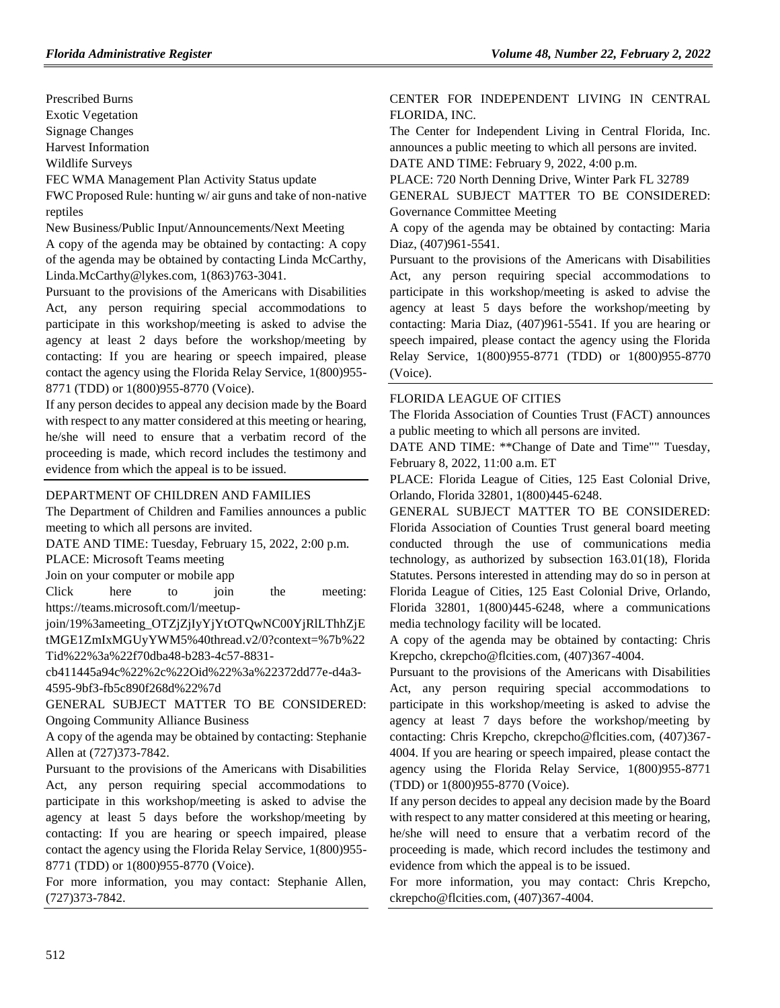Prescribed Burns

Exotic Vegetation

Signage Changes

Harvest Information

Wildlife Surveys

FEC WMA Management Plan Activity Status update

FWC Proposed Rule: hunting w/ air guns and take of non-native reptiles

New Business/Public Input/Announcements/Next Meeting

A copy of the agenda may be obtained by contacting: A copy of the agenda may be obtained by contacting Linda McCarthy, Linda.McCarthy@lykes.com, 1(863)763-3041.

Pursuant to the provisions of the Americans with Disabilities Act, any person requiring special accommodations to participate in this workshop/meeting is asked to advise the agency at least 2 days before the workshop/meeting by contacting: If you are hearing or speech impaired, please contact the agency using the Florida Relay Service, 1(800)955- 8771 (TDD) or 1(800)955-8770 (Voice).

If any person decides to appeal any decision made by the Board with respect to any matter considered at this meeting or hearing, he/she will need to ensure that a verbatim record of the proceeding is made, which record includes the testimony and evidence from which the appeal is to be issued.

## [DEPARTMENT OF CHILDREN AND FAMILIES](https://www.flrules.org/gateway/department.asp?id=65)

The Department of Children and Families announces a public meeting to which all persons are invited.

DATE AND TIME: Tuesday, February 15, 2022, 2:00 p.m.

PLACE: Microsoft Teams meeting

Join on your computer or mobile app

Click here to join the meeting: https://teams.microsoft.com/l/meetup-

join/19%3ameeting\_OTZjZjIyYjYtOTQwNC00YjRlLThhZjE tMGE1ZmIxMGUyYWM5%40thread.v2/0?context=%7b%22 Tid%22%3a%22f70dba48-b283-4c57-8831-

cb411445a94c%22%2c%22Oid%22%3a%22372dd77e-d4a3- 4595-9bf3-fb5c890f268d%22%7d

GENERAL SUBJECT MATTER TO BE CONSIDERED: Ongoing Community Alliance Business

A copy of the agenda may be obtained by contacting: Stephanie Allen at (727)373-7842.

Pursuant to the provisions of the Americans with Disabilities Act, any person requiring special accommodations to participate in this workshop/meeting is asked to advise the agency at least 5 days before the workshop/meeting by contacting: If you are hearing or speech impaired, please contact the agency using the Florida Relay Service, 1(800)955- 8771 (TDD) or 1(800)955-8770 (Voice).

For more information, you may contact: Stephanie Allen, (727)373-7842.

# [CENTER FOR INDEPENDENT LIVING IN CENTRAL](https://www.flrules.org/gateway/organization.asp?id=760)  [FLORIDA, INC.](https://www.flrules.org/gateway/organization.asp?id=760)

The Center for Independent Living in Central Florida, Inc. announces a public meeting to which all persons are invited. DATE AND TIME: February 9, 2022, 4:00 p.m.

PLACE: 720 North Denning Drive, Winter Park FL 32789

GENERAL SUBJECT MATTER TO BE CONSIDERED: Governance Committee Meeting

A copy of the agenda may be obtained by contacting: Maria Diaz, (407)961-5541.

Pursuant to the provisions of the Americans with Disabilities Act, any person requiring special accommodations to participate in this workshop/meeting is asked to advise the agency at least 5 days before the workshop/meeting by contacting: Maria Diaz, (407)961-5541. If you are hearing or speech impaired, please contact the agency using the Florida Relay Service, 1(800)955-8771 (TDD) or 1(800)955-8770 (Voice).

## [FLORIDA LEAGUE OF CITIES](https://www.flrules.org/gateway/organization.asp?id=670)

The Florida Association of Counties Trust (FACT) announces a public meeting to which all persons are invited.

DATE AND TIME: \*\*Change of Date and Time"" Tuesday, February 8, 2022, 11:00 a.m. ET

PLACE: Florida League of Cities, 125 East Colonial Drive, Orlando, Florida 32801, 1(800)445-6248.

GENERAL SUBJECT MATTER TO BE CONSIDERED: Florida Association of Counties Trust general board meeting conducted through the use of communications media technology, as authorized by subsection 163.01(18), Florida Statutes. Persons interested in attending may do so in person at Florida League of Cities, 125 East Colonial Drive, Orlando, Florida 32801, 1(800)445-6248, where a communications media technology facility will be located.

A copy of the agenda may be obtained by contacting: Chris Krepcho, ckrepcho@flcities.com, (407)367-4004.

Pursuant to the provisions of the Americans with Disabilities Act, any person requiring special accommodations to participate in this workshop/meeting is asked to advise the agency at least 7 days before the workshop/meeting by contacting: Chris Krepcho, ckrepcho@flcities.com, (407)367- 4004. If you are hearing or speech impaired, please contact the agency using the Florida Relay Service, 1(800)955-8771 (TDD) or 1(800)955-8770 (Voice).

If any person decides to appeal any decision made by the Board with respect to any matter considered at this meeting or hearing, he/she will need to ensure that a verbatim record of the proceeding is made, which record includes the testimony and evidence from which the appeal is to be issued.

For more information, you may contact: Chris Krepcho, ckrepcho@flcities.com, (407)367-4004.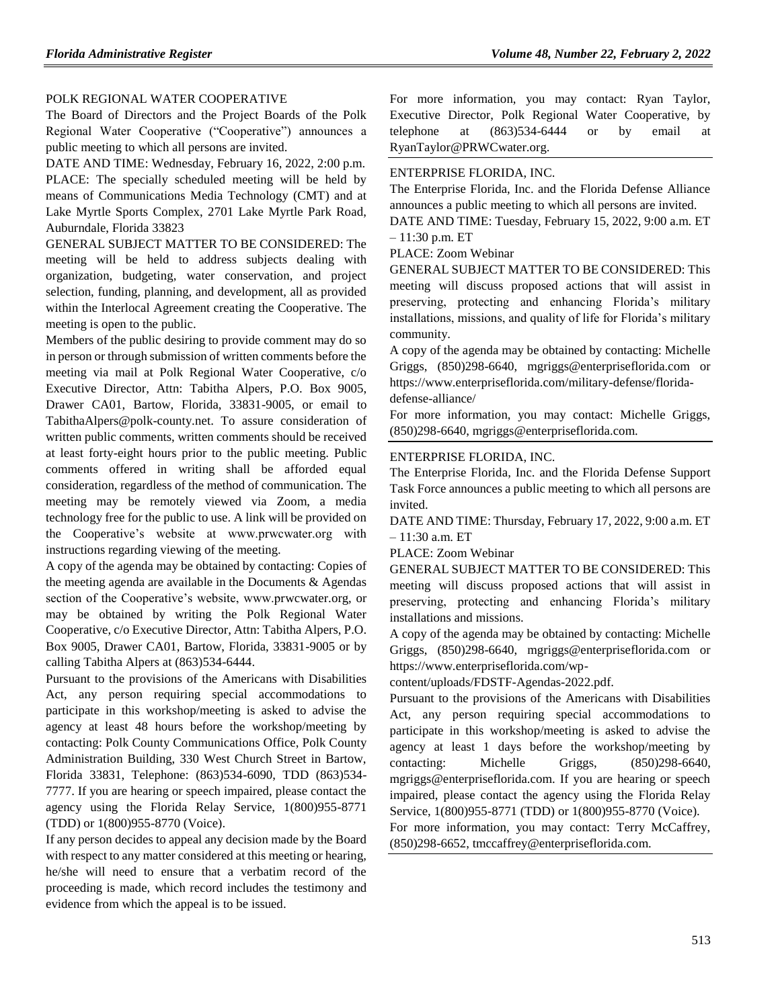## [POLK REGIONAL WATER COOPERATIVE](https://www.flrules.org/gateway/organization.asp?id=1246)

The Board of Directors and the Project Boards of the Polk Regional Water Cooperative ("Cooperative") announces a public meeting to which all persons are invited.

DATE AND TIME: Wednesday, February 16, 2022, 2:00 p.m. PLACE: The specially scheduled meeting will be held by means of Communications Media Technology (CMT) and at Lake Myrtle Sports Complex, 2701 Lake Myrtle Park Road, Auburndale, Florida 33823

GENERAL SUBJECT MATTER TO BE CONSIDERED: The meeting will be held to address subjects dealing with organization, budgeting, water conservation, and project selection, funding, planning, and development, all as provided within the Interlocal Agreement creating the Cooperative. The meeting is open to the public.

Members of the public desiring to provide comment may do so in person or through submission of written comments before the meeting via mail at Polk Regional Water Cooperative, c/o Executive Director, Attn: Tabitha Alpers, P.O. Box 9005, Drawer CA01, Bartow, Florida, 33831-9005, or email to TabithaAlpers@polk-county.net. To assure consideration of written public comments, written comments should be received at least forty-eight hours prior to the public meeting. Public comments offered in writing shall be afforded equal consideration, regardless of the method of communication. The meeting may be remotely viewed via Zoom, a media technology free for the public to use. A link will be provided on the Cooperative's website at www.prwcwater.org with instructions regarding viewing of the meeting.

A copy of the agenda may be obtained by contacting: Copies of the meeting agenda are available in the Documents & Agendas section of the Cooperative's website, www.prwcwater.org, or may be obtained by writing the Polk Regional Water Cooperative, c/o Executive Director, Attn: Tabitha Alpers, P.O. Box 9005, Drawer CA01, Bartow, Florida, 33831-9005 or by calling Tabitha Alpers at (863)534-6444.

Pursuant to the provisions of the Americans with Disabilities Act, any person requiring special accommodations to participate in this workshop/meeting is asked to advise the agency at least 48 hours before the workshop/meeting by contacting: Polk County Communications Office, Polk County Administration Building, 330 West Church Street in Bartow, Florida 33831, Telephone: (863)534-6090, TDD (863)534- 7777. If you are hearing or speech impaired, please contact the agency using the Florida Relay Service, 1(800)955-8771 (TDD) or 1(800)955-8770 (Voice).

If any person decides to appeal any decision made by the Board with respect to any matter considered at this meeting or hearing, he/she will need to ensure that a verbatim record of the proceeding is made, which record includes the testimony and evidence from which the appeal is to be issued.

For more information, you may contact: Ryan Taylor, Executive Director, Polk Regional Water Cooperative, by telephone at (863)534-6444 or by email at RyanTaylor@PRWCwater.org.

### [ENTERPRISE FLORIDA, INC.](https://www.flrules.org/gateway/organization.asp?id=680)

The Enterprise Florida, Inc. and the Florida Defense Alliance announces a public meeting to which all persons are invited. DATE AND TIME: Tuesday, February 15, 2022, 9:00 a.m. ET

– 11:30 p.m. ET

PLACE: Zoom Webinar

GENERAL SUBJECT MATTER TO BE CONSIDERED: This meeting will discuss proposed actions that will assist in preserving, protecting and enhancing Florida's military installations, missions, and quality of life for Florida's military community.

A copy of the agenda may be obtained by contacting: Michelle Griggs, (850)298-6640, mgriggs@enterpriseflorida.com or https://www.enterpriseflorida.com/military-defense/floridadefense-alliance/

For more information, you may contact: Michelle Griggs, (850)298-6640, mgriggs@enterpriseflorida.com.

#### [ENTERPRISE FLORIDA, INC.](https://www.flrules.org/gateway/organization.asp?id=680)

The Enterprise Florida, Inc. and the Florida Defense Support Task Force announces a public meeting to which all persons are invited.

DATE AND TIME: Thursday, February 17, 2022, 9:00 a.m. ET – 11:30 a.m. ET

PLACE: Zoom Webinar

GENERAL SUBJECT MATTER TO BE CONSIDERED: This meeting will discuss proposed actions that will assist in preserving, protecting and enhancing Florida's military installations and missions.

A copy of the agenda may be obtained by contacting: Michelle Griggs, (850)298-6640, mgriggs@enterpriseflorida.com or https://www.enterpriseflorida.com/wp-

content/uploads/FDSTF-Agendas-2022.pdf.

Pursuant to the provisions of the Americans with Disabilities Act, any person requiring special accommodations to participate in this workshop/meeting is asked to advise the agency at least 1 days before the workshop/meeting by contacting: Michelle Griggs, (850)298-6640, mgriggs@enterpriseflorida.com. If you are hearing or speech impaired, please contact the agency using the Florida Relay Service, 1(800)955-8771 (TDD) or 1(800)955-8770 (Voice).

For more information, you may contact: Terry McCaffrey, (850)298-6652, tmccaffrey@enterpriseflorida.com.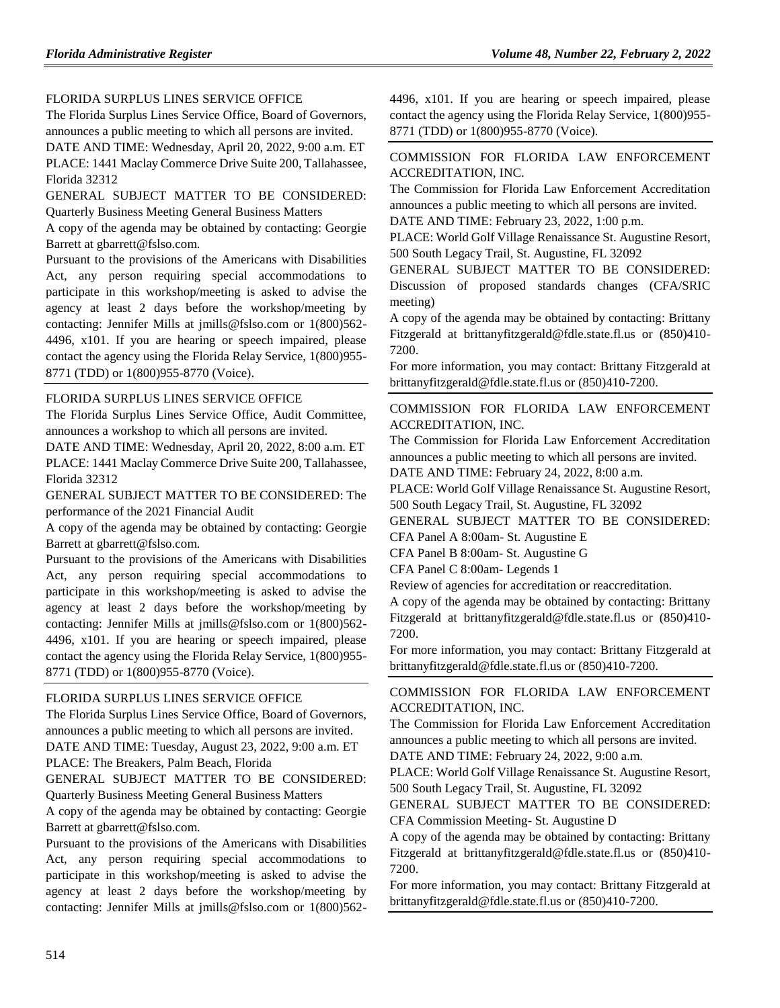# [FLORIDA SURPLUS LINES SERVICE OFFICE](https://www.flrules.org/gateway/organization.asp?id=692)

The Florida Surplus Lines Service Office, Board of Governors, announces a public meeting to which all persons are invited.

DATE AND TIME: Wednesday, April 20, 2022, 9:00 a.m. ET PLACE: 1441 Maclay Commerce Drive Suite 200, Tallahassee, Florida 32312

GENERAL SUBJECT MATTER TO BE CONSIDERED: Quarterly Business Meeting General Business Matters

A copy of the agenda may be obtained by contacting: Georgie Barrett at gbarrett@fslso.com.

Pursuant to the provisions of the Americans with Disabilities Act, any person requiring special accommodations to participate in this workshop/meeting is asked to advise the agency at least 2 days before the workshop/meeting by contacting: Jennifer Mills at jmills@fslso.com or 1(800)562- 4496, x101. If you are hearing or speech impaired, please contact the agency using the Florida Relay Service, 1(800)955- 8771 (TDD) or 1(800)955-8770 (Voice).

## [FLORIDA SURPLUS LINES SERVICE OFFICE](https://www.flrules.org/gateway/organization.asp?id=692)

The Florida Surplus Lines Service Office, Audit Committee, announces a workshop to which all persons are invited.

DATE AND TIME: Wednesday, April 20, 2022, 8:00 a.m. ET PLACE: 1441 Maclay Commerce Drive Suite 200, Tallahassee, Florida 32312

GENERAL SUBJECT MATTER TO BE CONSIDERED: The performance of the 2021 Financial Audit

A copy of the agenda may be obtained by contacting: Georgie Barrett at gbarrett@fslso.com.

Pursuant to the provisions of the Americans with Disabilities Act, any person requiring special accommodations to participate in this workshop/meeting is asked to advise the agency at least 2 days before the workshop/meeting by contacting: Jennifer Mills at jmills@fslso.com or 1(800)562- 4496, x101. If you are hearing or speech impaired, please contact the agency using the Florida Relay Service, 1(800)955- 8771 (TDD) or 1(800)955-8770 (Voice).

#### [FLORIDA SURPLUS LINES SERVICE OFFICE](https://www.flrules.org/gateway/organization.asp?id=692)

The Florida Surplus Lines Service Office, Board of Governors, announces a public meeting to which all persons are invited. DATE AND TIME: Tuesday, August 23, 2022, 9:00 a.m. ET PLACE: The Breakers, Palm Beach, Florida

GENERAL SUBJECT MATTER TO BE CONSIDERED: Quarterly Business Meeting General Business Matters

A copy of the agenda may be obtained by contacting: Georgie Barrett at gbarrett@fslso.com.

Pursuant to the provisions of the Americans with Disabilities Act, any person requiring special accommodations to participate in this workshop/meeting is asked to advise the agency at least 2 days before the workshop/meeting by contacting: Jennifer Mills at jmills@fslso.com or 1(800)5624496, x101. If you are hearing or speech impaired, please contact the agency using the Florida Relay Service, 1(800)955- 8771 (TDD) or 1(800)955-8770 (Voice).

# [COMMISSION FOR FLORIDA LAW ENFORCEMENT](https://www.flrules.org/gateway/organization.asp?id=787)  [ACCREDITATION, INC.](https://www.flrules.org/gateway/organization.asp?id=787)

The Commission for Florida Law Enforcement Accreditation announces a public meeting to which all persons are invited.

DATE AND TIME: February 23, 2022, 1:00 p.m.

PLACE: World Golf Village Renaissance St. Augustine Resort, 500 South Legacy Trail, St. Augustine, FL 32092

GENERAL SUBJECT MATTER TO BE CONSIDERED: Discussion of proposed standards changes (CFA/SRIC meeting)

A copy of the agenda may be obtained by contacting: Brittany Fitzgerald at brittanyfitzgerald@fdle.state.fl.us or (850)410- 7200.

For more information, you may contact: Brittany Fitzgerald at brittanyfitzgerald@fdle.state.fl.us or (850)410-7200.

[COMMISSION FOR FLORIDA LAW ENFORCEMENT](https://www.flrules.org/gateway/organization.asp?id=787)  [ACCREDITATION, INC.](https://www.flrules.org/gateway/organization.asp?id=787)

The Commission for Florida Law Enforcement Accreditation announces a public meeting to which all persons are invited.

DATE AND TIME: February 24, 2022, 8:00 a.m.

PLACE: World Golf Village Renaissance St. Augustine Resort, 500 South Legacy Trail, St. Augustine, FL 32092

GENERAL SUBJECT MATTER TO BE CONSIDERED:

CFA Panel A 8:00am- St. Augustine E

CFA Panel B 8:00am- St. Augustine G

CFA Panel C 8:00am- Legends 1

Review of agencies for accreditation or reaccreditation.

A copy of the agenda may be obtained by contacting: Brittany Fitzgerald at brittanyfitzgerald@fdle.state.fl.us or (850)410- 7200.

For more information, you may contact: Brittany Fitzgerald at brittanyfitzgerald@fdle.state.fl.us or (850)410-7200.

[COMMISSION FOR FLORIDA LAW ENFORCEMENT](https://www.flrules.org/gateway/organization.asp?id=787)  [ACCREDITATION, INC.](https://www.flrules.org/gateway/organization.asp?id=787)

The Commission for Florida Law Enforcement Accreditation announces a public meeting to which all persons are invited.

DATE AND TIME: February 24, 2022, 9:00 a.m.

PLACE: World Golf Village Renaissance St. Augustine Resort, 500 South Legacy Trail, St. Augustine, FL 32092

GENERAL SUBJECT MATTER TO BE CONSIDERED: CFA Commission Meeting- St. Augustine D

A copy of the agenda may be obtained by contacting: Brittany Fitzgerald at brittanyfitzgerald@fdle.state.fl.us or (850)410- 7200.

For more information, you may contact: Brittany Fitzgerald at brittanyfitzgerald@fdle.state.fl.us or (850)410-7200.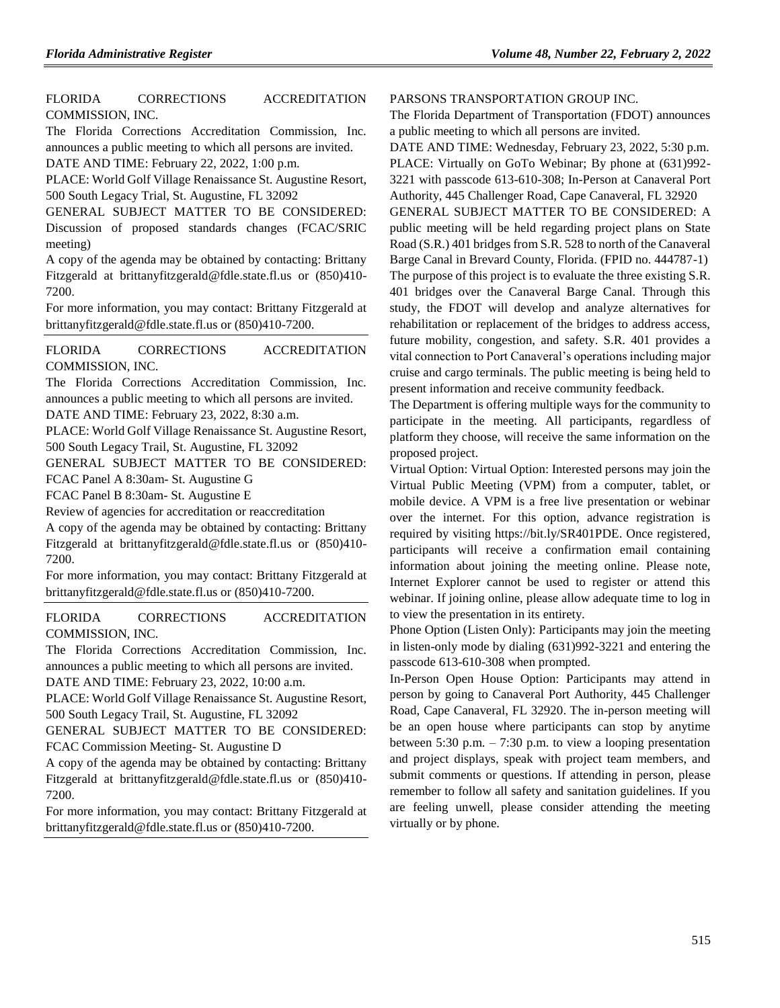# [FLORIDA CORRECTIONS ACCREDITATION](https://www.flrules.org/gateway/organization.asp?id=788)  [COMMISSION, INC.](https://www.flrules.org/gateway/organization.asp?id=788)

The Florida Corrections Accreditation Commission, Inc. announces a public meeting to which all persons are invited. DATE AND TIME: February 22, 2022, 1:00 p.m.

PLACE: World Golf Village Renaissance St. Augustine Resort, 500 South Legacy Trial, St. Augustine, FL 32092

GENERAL SUBJECT MATTER TO BE CONSIDERED: Discussion of proposed standards changes (FCAC/SRIC meeting)

A copy of the agenda may be obtained by contacting: Brittany Fitzgerald at brittanyfitzgerald@fdle.state.fl.us or (850)410- 7200.

For more information, you may contact: Brittany Fitzgerald at brittanyfitzgerald@fdle.state.fl.us or (850)410-7200.

[FLORIDA CORRECTIONS ACCREDITATION](https://www.flrules.org/gateway/organization.asp?id=788)  [COMMISSION, INC.](https://www.flrules.org/gateway/organization.asp?id=788)

The Florida Corrections Accreditation Commission, Inc. announces a public meeting to which all persons are invited. DATE AND TIME: February 23, 2022, 8:30 a.m.

PLACE: World Golf Village Renaissance St. Augustine Resort, 500 South Legacy Trail, St. Augustine, FL 32092

GENERAL SUBJECT MATTER TO BE CONSIDERED: FCAC Panel A 8:30am- St. Augustine G

FCAC Panel B 8:30am- St. Augustine E

Review of agencies for accreditation or reaccreditation

A copy of the agenda may be obtained by contacting: Brittany Fitzgerald at brittanyfitzgerald@fdle.state.fl.us or (850)410- 7200.

For more information, you may contact: Brittany Fitzgerald at brittanyfitzgerald@fdle.state.fl.us or (850)410-7200.

[FLORIDA CORRECTIONS ACCREDITATION](https://www.flrules.org/gateway/organization.asp?id=788)  [COMMISSION, INC.](https://www.flrules.org/gateway/organization.asp?id=788)

The Florida Corrections Accreditation Commission, Inc. announces a public meeting to which all persons are invited. DATE AND TIME: February 23, 2022, 10:00 a.m.

PLACE: World Golf Village Renaissance St. Augustine Resort, 500 South Legacy Trail, St. Augustine, FL 32092

GENERAL SUBJECT MATTER TO BE CONSIDERED: FCAC Commission Meeting- St. Augustine D

A copy of the agenda may be obtained by contacting: Brittany Fitzgerald at brittanyfitzgerald@fdle.state.fl.us or (850)410- 7200.

For more information, you may contact: Brittany Fitzgerald at brittanyfitzgerald@fdle.state.fl.us or (850)410-7200.

### [PARSONS TRANSPORTATION GROUP INC.](https://www.flrules.org/gateway/organization.asp?id=1010)

The Florida Department of Transportation (FDOT) announces a public meeting to which all persons are invited.

DATE AND TIME: Wednesday, February 23, 2022, 5:30 p.m. PLACE: Virtually on GoTo Webinar; By phone at (631)992- 3221 with passcode 613-610-308; In-Person at Canaveral Port Authority, 445 Challenger Road, Cape Canaveral, FL 32920 GENERAL SUBJECT MATTER TO BE CONSIDERED: A public meeting will be held regarding project plans on State Road (S.R.) 401 bridges from S.R. 528 to north of the Canaveral Barge Canal in Brevard County, Florida. (FPID no. 444787-1) The purpose of this project is to evaluate the three existing S.R. 401 bridges over the Canaveral Barge Canal. Through this study, the FDOT will develop and analyze alternatives for rehabilitation or replacement of the bridges to address access, future mobility, congestion, and safety. S.R. 401 provides a vital connection to Port Canaveral's operations including major cruise and cargo terminals. The public meeting is being held to present information and receive community feedback.

The Department is offering multiple ways for the community to participate in the meeting. All participants, regardless of platform they choose, will receive the same information on the proposed project.

Virtual Option: Virtual Option: Interested persons may join the Virtual Public Meeting (VPM) from a computer, tablet, or mobile device. A VPM is a free live presentation or webinar over the internet. For this option, advance registration is required by visiting https://bit.ly/SR401PDE. Once registered, participants will receive a confirmation email containing information about joining the meeting online. Please note, Internet Explorer cannot be used to register or attend this webinar. If joining online, please allow adequate time to log in to view the presentation in its entirety.

Phone Option (Listen Only): Participants may join the meeting in listen-only mode by dialing (631)992-3221 and entering the passcode 613-610-308 when prompted.

In-Person Open House Option: Participants may attend in person by going to Canaveral Port Authority, 445 Challenger Road, Cape Canaveral, FL 32920. The in-person meeting will be an open house where participants can stop by anytime between 5:30 p.m.  $-7:30$  p.m. to view a looping presentation and project displays, speak with project team members, and submit comments or questions. If attending in person, please remember to follow all safety and sanitation guidelines. If you are feeling unwell, please consider attending the meeting virtually or by phone.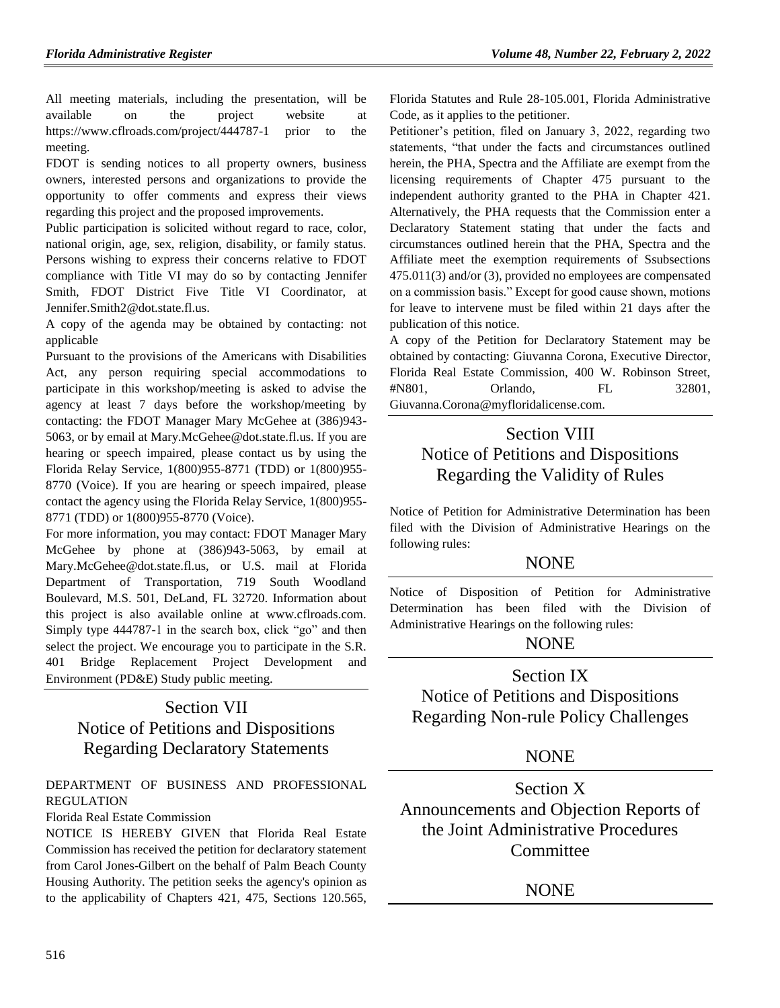All meeting materials, including the presentation, will be available on the project website at https://www.cflroads.com/project/444787-1 prior to the meeting.

FDOT is sending notices to all property owners, business owners, interested persons and organizations to provide the opportunity to offer comments and express their views regarding this project and the proposed improvements.

Public participation is solicited without regard to race, color, national origin, age, sex, religion, disability, or family status. Persons wishing to express their concerns relative to FDOT compliance with Title VI may do so by contacting Jennifer Smith, FDOT District Five Title VI Coordinator, at Jennifer.Smith2@dot.state.fl.us.

A copy of the agenda may be obtained by contacting: not applicable

Pursuant to the provisions of the Americans with Disabilities Act, any person requiring special accommodations to participate in this workshop/meeting is asked to advise the agency at least 7 days before the workshop/meeting by contacting: the FDOT Manager Mary McGehee at (386)943- 5063, or by email at Mary.McGehee@dot.state.fl.us. If you are hearing or speech impaired, please contact us by using the Florida Relay Service, 1(800)955-8771 (TDD) or 1(800)955- 8770 (Voice). If you are hearing or speech impaired, please contact the agency using the Florida Relay Service, 1(800)955- 8771 (TDD) or 1(800)955-8770 (Voice).

For more information, you may contact: FDOT Manager Mary McGehee by phone at (386)943-5063, by email at Mary.McGehee@dot.state.fl.us, or U.S. mail at Florida Department of Transportation, 719 South Woodland Boulevard, M.S. 501, DeLand, FL 32720. Information about this project is also available online at www.cflroads.com. Simply type 444787-1 in the search box, click "go" and then select the project. We encourage you to participate in the S.R. 401 Bridge Replacement Project Development and Environment (PD&E) Study public meeting.

# Section VII Notice of Petitions and Dispositions Regarding Declaratory Statements

# [DEPARTMENT OF BUSINESS AND PROFESSIONAL](https://www.flrules.org/gateway/department.asp?id=61)  [REGULATION](https://www.flrules.org/gateway/department.asp?id=61)

## [Florida Real Estate Commission](https://www.flrules.org/gateway/organization.asp?id=283)

NOTICE IS HEREBY GIVEN that Florida Real Estate Commission has received the petition for declaratory statement from Carol Jones-Gilbert on the behalf of Palm Beach County Housing Authority. The petition seeks the agency's opinion as to the applicability of Chapters 421, 475, Sections 120.565, Florida Statutes and Rule 28-105.001, Florida Administrative Code, as it applies to the petitioner.

Petitioner's petition, filed on January 3, 2022, regarding two statements, "that under the facts and circumstances outlined herein, the PHA, Spectra and the Affiliate are exempt from the licensing requirements of Chapter 475 pursuant to the independent authority granted to the PHA in Chapter 421. Alternatively, the PHA requests that the Commission enter a Declaratory Statement stating that under the facts and circumstances outlined herein that the PHA, Spectra and the Affiliate meet the exemption requirements of Ssubsections 475.011(3) and/or (3), provided no employees are compensated on a commission basis." Except for good cause shown, motions for leave to intervene must be filed within 21 days after the publication of this notice.

A copy of the Petition for Declaratory Statement may be obtained by contacting: Giuvanna Corona, Executive Director, Florida Real Estate Commission, 400 W. Robinson Street, #N801, Orlando, FL 32801, Giuvanna.Corona@myfloridalicense.com.

# Section VIII Notice of Petitions and Dispositions Regarding the Validity of Rules

Notice of Petition for Administrative Determination has been filed with the Division of Administrative Hearings on the following rules:

# **NONE**

Notice of Disposition of Petition for Administrative Determination has been filed with the Division of Administrative Hearings on the following rules:

# **NONE**

# Section IX

Notice of Petitions and Dispositions Regarding Non-rule Policy Challenges

# NONE

Section X Announcements and Objection Reports of the Joint Administrative Procedures **Committee** 

# NONE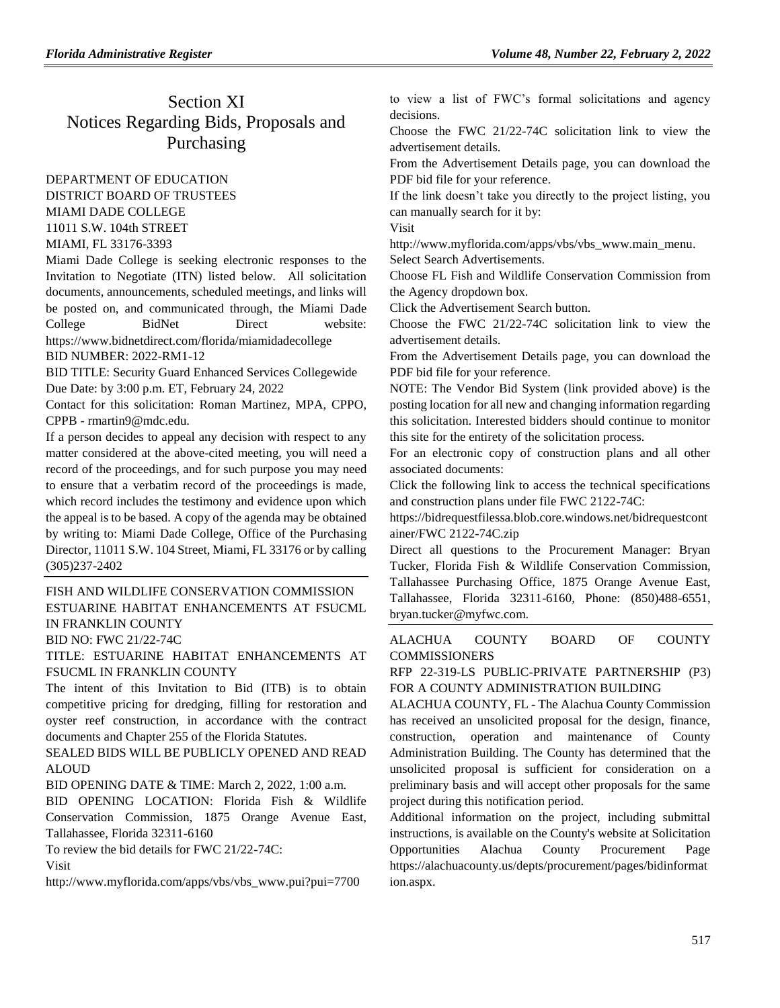# Section XI Notices Regarding Bids, Proposals and Purchasing

# [DEPARTMENT OF EDUCATION](https://www.flrules.org/gateway/department.asp?id=6) DISTRICT BOARD OF TRUSTEES MIAMI DADE COLLEGE 11011 S.W. 104th STREET MIAMI, FL 33176-3393

Miami Dade College is seeking electronic responses to the Invitation to Negotiate (ITN) listed below. All solicitation documents, announcements, scheduled meetings, and links will be posted on, and communicated through, the Miami Dade College BidNet Direct website: https://www.bidnetdirect.com/florida/miamidadecollege BID NUMBER: 2022-RM1-12

BID TITLE: Security Guard Enhanced Services Collegewide

Due Date: by 3:00 p.m. ET, February 24, 2022

Contact for this solicitation: Roman Martinez, MPA, CPPO, CPPB - rmartin9@mdc.edu.

If a person decides to appeal any decision with respect to any matter considered at the above-cited meeting, you will need a record of the proceedings, and for such purpose you may need to ensure that a verbatim record of the proceedings is made, which record includes the testimony and evidence upon which the appeal is to be based. A copy of the agenda may be obtained by writing to: Miami Dade College, Office of the Purchasing Director, 11011 S.W. 104 Street, Miami, FL 33176 or by calling (305)237-2402

# [FISH AND WILDLIFE CONSERVATION COMMISSION](https://www.flrules.org/gateway/department.asp?id=68) ESTUARINE HABITAT ENHANCEMENTS AT FSUCML IN FRANKLIN COUNTY

BID NO: FWC 21/22-74C

TITLE: ESTUARINE HABITAT ENHANCEMENTS AT FSUCML IN FRANKLIN COUNTY

The intent of this Invitation to Bid (ITB) is to obtain competitive pricing for dredging, filling for restoration and oyster reef construction, in accordance with the contract documents and Chapter 255 of the Florida Statutes.

SEALED BIDS WILL BE PUBLICLY OPENED AND READ ALOUD

BID OPENING DATE & TIME: March 2, 2022, 1:00 a.m.

BID OPENING LOCATION: Florida Fish & Wildlife Conservation Commission, 1875 Orange Avenue East, Tallahassee, Florida 32311-6160

To review the bid details for FWC 21/22-74C:

Visit

[http://www.myflorida.com/apps/vbs/vbs\\_www.pui?pui=7700](http://www.myflorida.com/apps/vbs/vbs_www.pui?pui=7700)

to view a list of FWC's formal solicitations and agency decisions.

Choose the FWC 21/22-74C solicitation link to view the advertisement details.

From the Advertisement Details page, you can download the PDF bid file for your reference.

If the link doesn't take you directly to the project listing, you can manually search for it by:

Visit

[http://www.myflorida.com/apps/vbs/vbs\\_www.main\\_menu.](http://www.myflorida.com/apps/vbs/vbs_www.main_menu)

Select Search Advertisements.

Choose FL Fish and Wildlife Conservation Commission from the Agency dropdown box.

Click the Advertisement Search button.

Choose the FWC 21/22-74C solicitation link to view the advertisement details.

From the Advertisement Details page, you can download the PDF bid file for your reference.

NOTE: The Vendor Bid System (link provided above) is the posting location for all new and changing information regarding this solicitation. Interested bidders should continue to monitor this site for the entirety of the solicitation process.

For an electronic copy of construction plans and all other associated documents:

Click the following link to access the technical specifications and construction plans under file FWC 2122-74C:

[https://bidrequestfilessa.blob.core.windows.net/bidrequestcont](https://bidrequestfilessa.blob.core.windows.net/bidrequestcontainer/FWC%202122-74C.zip) [ainer/FWC 2122-74C.zip](https://bidrequestfilessa.blob.core.windows.net/bidrequestcontainer/FWC%202122-74C.zip)

Direct all questions to the Procurement Manager: Bryan Tucker, Florida Fish & Wildlife Conservation Commission, Tallahassee Purchasing Office, 1875 Orange Avenue East, Tallahassee, Florida 32311-6160, Phone: (850)488-6551, bryan.tucker@myfwc.com.

# [ALACHUA COUNTY BOARD OF COUNTY](https://www.flrules.org/gateway/organization.asp?id=1399)  **[COMMISSIONERS](https://www.flrules.org/gateway/organization.asp?id=1399)**

RFP 22-319-LS PUBLIC-PRIVATE PARTNERSHIP (P3) FOR A COUNTY ADMINISTRATION BUILDING

ALACHUA COUNTY, FL - The Alachua County Commission has received an unsolicited proposal for the design, finance, construction, operation and maintenance of County Administration Building. The County has determined that the unsolicited proposal is sufficient for consideration on a preliminary basis and will accept other proposals for the same project during this notification period.

Additional information on the project, including submittal instructions, is available on the County's website at Solicitation Opportunities Alachua County Procurement Page [https://alachuacounty.us/depts/procurement/pages/bidinformat](https://alachuacounty.us/depts/procurement/pages/bidinformation.aspx) [ion.aspx.](https://alachuacounty.us/depts/procurement/pages/bidinformation.aspx)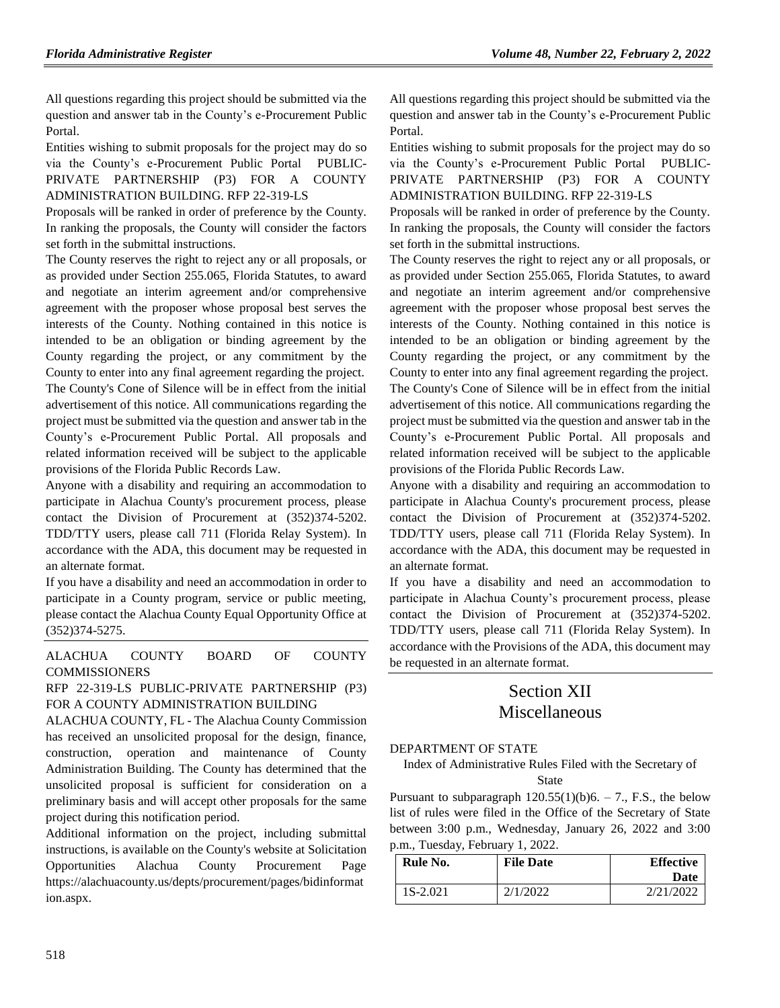All questions regarding this project should be submitted via the question and answer tab in the County's e-Procurement [Public](https://secure.procurenow.com/portal/alachuacounty)  [Portal.](https://secure.procurenow.com/portal/alachuacounty)

Entities wishing to submit proposals for the project may do so via the County's e-Procurement [Public Portal](https://secure.procurenow.com/portal/alachuacounty) PUBLIC-PRIVATE PARTNERSHIP (P3) FOR A COUNTY ADMINISTRATION BUILDING. RFP 22-319-LS

Proposals will be ranked in order of preference by the County. In ranking the proposals, the County will consider the factors set forth in the submittal instructions.

The County reserves the right to reject any or all proposals, or as provided under Section 255.065, Florida Statutes, to award and negotiate an interim agreement and/or comprehensive agreement with the proposer whose proposal best serves the interests of the County. Nothing contained in this notice is intended to be an obligation or binding agreement by the County regarding the project, or any commitment by the County to enter into any final agreement regarding the project. The County's Cone of Silence will be in effect from the initial advertisement of this notice. All communications regarding the project must be submitted via the question and answer tab in the County's e-Procurement [Public Portal.](https://secure.procurenow.com/portal/alachuacounty) All proposals and related information received will be subject to the applicable provisions of the Florida Public Records Law.

Anyone with a disability and requiring an accommodation to participate in Alachua County's procurement process, please contact the Division of Procurement at (352)374-5202. TDD/TTY users, please call 711 (Florida Relay System). In accordance with the ADA, this document may be requested in an alternate format.

If you have a disability and need an accommodation in order to participate in a County program, service or public meeting, please contact the Alachua County Equal Opportunity Office at (352)374-5275.

[ALACHUA COUNTY BOARD OF COUNTY](https://www.flrules.org/gateway/organization.asp?id=1399)  [COMMISSIONERS](https://www.flrules.org/gateway/organization.asp?id=1399)

# RFP 22-319-LS PUBLIC-PRIVATE PARTNERSHIP (P3) FOR A COUNTY ADMINISTRATION BUILDING

ALACHUA COUNTY, FL - The Alachua County Commission has received an unsolicited proposal for the design, finance, construction, operation and maintenance of County Administration Building. The County has determined that the unsolicited proposal is sufficient for consideration on a preliminary basis and will accept other proposals for the same project during this notification period.

Additional information on the project, including submittal instructions, is available on the County's website at Solicitation Opportunities Alachua County Procurement Page [https://alachuacounty.us/depts/procurement/pages/bidinformat](https://alachuacounty.us/depts/procurement/pages/bidinformation.aspx) [ion.aspx.](https://alachuacounty.us/depts/procurement/pages/bidinformation.aspx)

All questions regarding this project should be submitted via the question and answer tab in the County's e-Procurement [Public](https://secure.procurenow.com/portal/alachuacounty)  [Portal.](https://secure.procurenow.com/portal/alachuacounty)

Entities wishing to submit proposals for the project may do so via the County's e-Procurement [Public Portal](https://secure.procurenow.com/portal/alachuacounty) PUBLIC-PRIVATE PARTNERSHIP (P3) FOR A COUNTY ADMINISTRATION BUILDING. RFP 22-319-LS

Proposals will be ranked in order of preference by the County. In ranking the proposals, the County will consider the factors set forth in the submittal instructions.

The County reserves the right to reject any or all proposals, or as provided under Section 255.065, Florida Statutes, to award and negotiate an interim agreement and/or comprehensive agreement with the proposer whose proposal best serves the interests of the County. Nothing contained in this notice is intended to be an obligation or binding agreement by the County regarding the project, or any commitment by the County to enter into any final agreement regarding the project. The County's Cone of Silence will be in effect from the initial advertisement of this notice. All communications regarding the project must be submitted via the question and answer tab in the County's e-Procurement [Public Portal.](https://secure.procurenow.com/portal/alachuacounty) All proposals and related information received will be subject to the applicable provisions of the Florida Public Records Law.

Anyone with a disability and requiring an accommodation to participate in Alachua County's procurement process, please contact the Division of Procurement at (352)374-5202. TDD/TTY users, please call 711 (Florida Relay System). In accordance with the ADA, this document may be requested in an alternate format.

If you have a disability and need an accommodation to participate in Alachua County's procurement process, please contact the Division of Procurement at (352)374-5202. TDD/TTY users, please call 711 (Florida Relay System). In accordance with the Provisions of the ADA, this document may be requested in an alternate format.

# Section XII Miscellaneous

### [DEPARTMENT OF STATE](https://www.flrules.org/gateway/department.asp?id=1)

Index of Administrative Rules Filed with the Secretary of **State** 

Pursuant to subparagraph  $120.55(1)(b)6. - 7$ ., F.S., the below list of rules were filed in the Office of the Secretary of State between 3:00 p.m., Wednesday, January 26, 2022 and 3:00 p.m., Tuesday, February 1, 2022.

| Rule No. | <b>File Date</b> | <b>Effective</b><br>Date |
|----------|------------------|--------------------------|
| 1S-2.021 | 2/1/2022         | 2/21/2022                |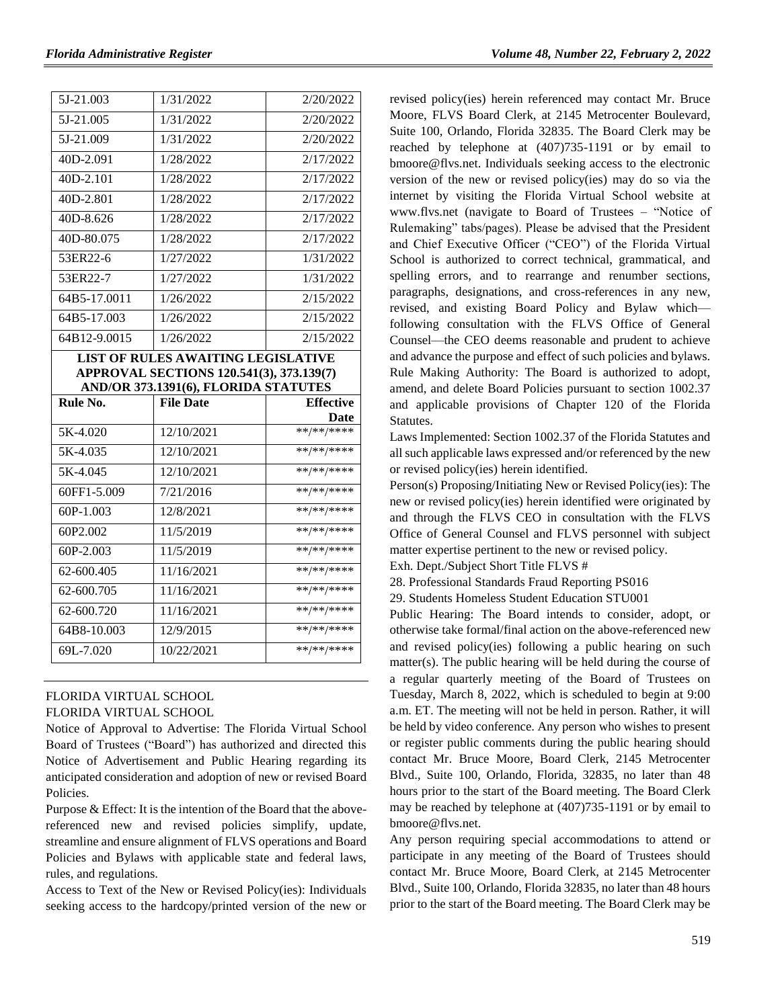| 5J-21.003                                                                                                                     | 1/31/2022        | 2/20/2022                |  |  |
|-------------------------------------------------------------------------------------------------------------------------------|------------------|--------------------------|--|--|
| 5J-21.005                                                                                                                     | 1/31/2022        | 2/20/2022                |  |  |
| 5J-21.009                                                                                                                     | 1/31/2022        | 2/20/2022                |  |  |
| 40D-2.091                                                                                                                     | 1/28/2022        | 2/17/2022                |  |  |
| 40D-2.101                                                                                                                     | 1/28/2022        | 2/17/2022                |  |  |
| 40D-2.801                                                                                                                     | 1/28/2022        | 2/17/2022                |  |  |
| 40D-8.626                                                                                                                     | 1/28/2022        | 2/17/2022                |  |  |
| 40D-80.075                                                                                                                    | 1/28/2022        | 2/17/2022                |  |  |
| 53ER22-6                                                                                                                      | 1/27/2022        | 1/31/2022                |  |  |
| 53ER22-7                                                                                                                      | 1/27/2022        | 1/31/2022                |  |  |
| 64B5-17.0011                                                                                                                  | 1/26/2022        | 2/15/2022                |  |  |
| 64B5-17.003                                                                                                                   | 1/26/2022        | 2/15/2022                |  |  |
| 64B12-9.0015                                                                                                                  | 1/26/2022        | 2/15/2022                |  |  |
| <b>LIST OF RULES AWAITING LEGISLATIVE</b><br>APPROVAL SECTIONS 120.541(3), 373.139(7)<br>AND/OR 373.1391(6), FLORIDA STATUTES |                  |                          |  |  |
|                                                                                                                               |                  |                          |  |  |
| Rule No.                                                                                                                      | <b>File Date</b> | <b>Effective</b>         |  |  |
|                                                                                                                               |                  | Date                     |  |  |
| 5K-4.020                                                                                                                      | 12/10/2021       | **/**/****               |  |  |
| 5K-4.035                                                                                                                      | 12/10/2021       | **/**/****               |  |  |
| 5K-4.045                                                                                                                      | 12/10/2021       | **/**/****               |  |  |
| 60FF1-5.009                                                                                                                   | 7/21/2016        | **/**/****               |  |  |
| 60P-1.003                                                                                                                     | 12/8/2021        | **/**/****               |  |  |
| 60P2.002                                                                                                                      | 11/5/2019        | **/**/****               |  |  |
| 60P-2.003                                                                                                                     | 11/5/2019        | **/**/****               |  |  |
| 62-600.405                                                                                                                    | 11/16/2021       | **/**/****               |  |  |
| 62-600.705                                                                                                                    | 11/16/2021       | **/**/****               |  |  |
| 62-600.720                                                                                                                    | 11/16/2021       | **/**/****               |  |  |
| 64B8-10.003<br>69L-7.020                                                                                                      | 12/9/2015        | **/**/****<br>**/**/**** |  |  |

# [FLORIDA VIRTUAL SCHOOL](https://www.flrules.org/gateway/organization.asp?id=1357) FLORIDA VIRTUAL SCHOOL

Notice of Approval to Advertise: The Florida Virtual School Board of Trustees ("Board") has authorized and directed this Notice of Advertisement and Public Hearing regarding its anticipated consideration and adoption of new or revised Board Policies.

Purpose & Effect: It is the intention of the Board that the abovereferenced new and revised policies simplify, update, streamline and ensure alignment of FLVS operations and Board Policies and Bylaws with applicable state and federal laws, rules, and regulations.

Access to Text of the New or Revised Policy(ies): Individuals seeking access to the hardcopy/printed version of the new or

revised policy(ies) herein referenced may contact Mr. Bruce Moore, FLVS Board Clerk, at 2145 Metrocenter Boulevard, Suite 100, Orlando, Florida 32835. The Board Clerk may be reached by telephone at (407)735-1191 or by email to bmoore@flvs.net. Individuals seeking access to the electronic version of the new or revised policy(ies) may do so via the internet by visiting the Florida Virtual School website at www.flvs.net (navigate to Board of Trustees – "Notice of Rulemaking" tabs/pages). Please be advised that the President and Chief Executive Officer ("CEO") of the Florida Virtual School is authorized to correct technical, grammatical, and spelling errors, and to rearrange and renumber sections, paragraphs, designations, and cross-references in any new, revised, and existing Board Policy and Bylaw which following consultation with the FLVS Office of General Counsel—the CEO deems reasonable and prudent to achieve and advance the purpose and effect of such policies and bylaws. Rule Making Authority: The Board is authorized to adopt, amend, and delete Board Policies pursuant to section 1002.37 and applicable provisions of Chapter 120 of the Florida Statutes.

Laws Implemented: Section 1002.37 of the Florida Statutes and all such applicable laws expressed and/or referenced by the new or revised policy(ies) herein identified.

Person(s) Proposing/Initiating New or Revised Policy(ies): The new or revised policy(ies) herein identified were originated by and through the FLVS CEO in consultation with the FLVS Office of General Counsel and FLVS personnel with subject matter expertise pertinent to the new or revised policy.

Exh. Dept./Subject Short Title FLVS #

28. Professional Standards Fraud Reporting PS016

29. Students Homeless Student Education STU001

Public Hearing: The Board intends to consider, adopt, or otherwise take formal/final action on the above-referenced new and revised policy(ies) following a public hearing on such matter(s). The public hearing will be held during the course of a regular quarterly meeting of the Board of Trustees on Tuesday, March 8, 2022, which is scheduled to begin at 9:00 a.m. ET. The meeting will not be held in person. Rather, it will be held by video conference. Any person who wishes to present or register public comments during the public hearing should contact Mr. Bruce Moore, Board Clerk, 2145 Metrocenter Blvd., Suite 100, Orlando, Florida, 32835, no later than 48 hours prior to the start of the Board meeting. The Board Clerk may be reached by telephone at (407)735-1191 or by email to bmoore@flvs.net.

Any person requiring special accommodations to attend or participate in any meeting of the Board of Trustees should contact Mr. Bruce Moore, Board Clerk, at 2145 Metrocenter Blvd., Suite 100, Orlando, Florida 32835, no later than 48 hours prior to the start of the Board meeting. The Board Clerk may be